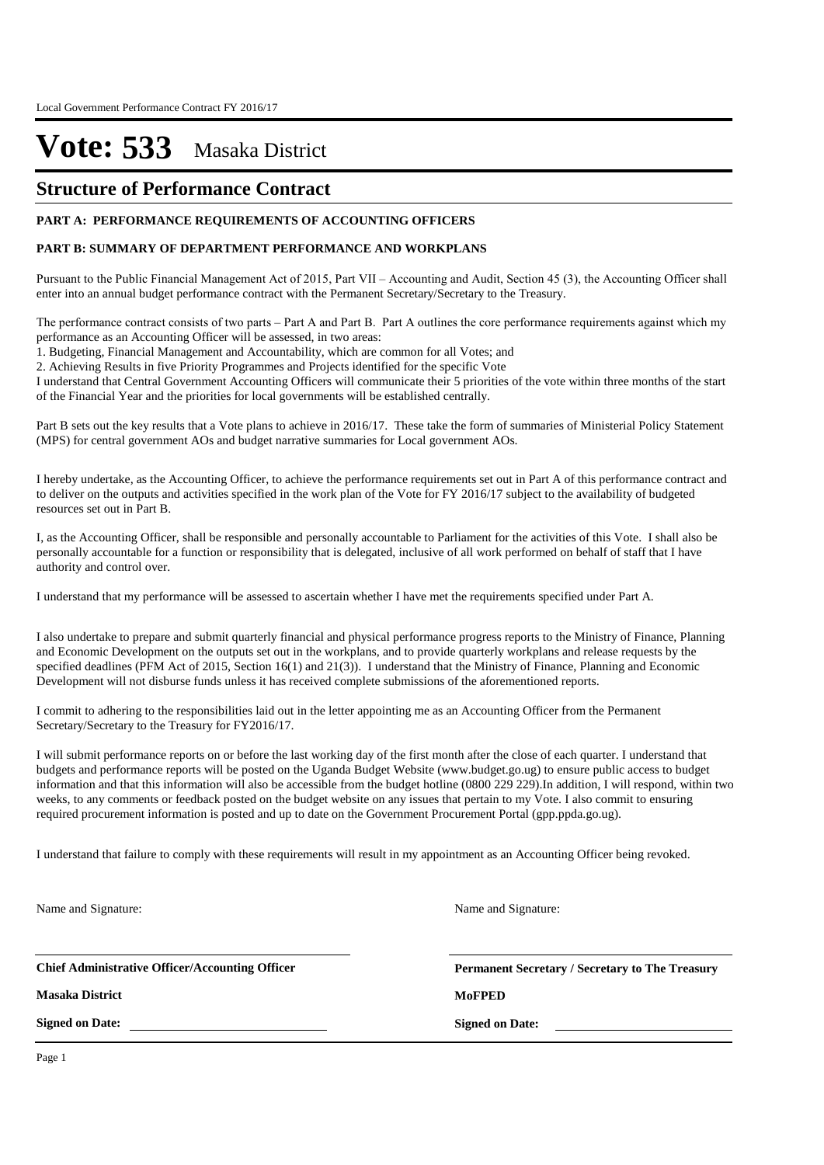### **Structure of Performance Contract**

#### **PART A: PERFORMANCE REQUIREMENTS OF ACCOUNTING OFFICERS**

#### **PART B: SUMMARY OF DEPARTMENT PERFORMANCE AND WORKPLANS**

Pursuant to the Public Financial Management Act of 2015, Part VII – Accounting and Audit, Section 45 (3), the Accounting Officer shall enter into an annual budget performance contract with the Permanent Secretary/Secretary to the Treasury.

The performance contract consists of two parts – Part A and Part B. Part A outlines the core performance requirements against which my performance as an Accounting Officer will be assessed, in two areas:

1. Budgeting, Financial Management and Accountability, which are common for all Votes; and

2. Achieving Results in five Priority Programmes and Projects identified for the specific Vote

I understand that Central Government Accounting Officers will communicate their 5 priorities of the vote within three months of the start of the Financial Year and the priorities for local governments will be established centrally.

Part B sets out the key results that a Vote plans to achieve in 2016/17. These take the form of summaries of Ministerial Policy Statement (MPS) for central government AOs and budget narrative summaries for Local government AOs.

I hereby undertake, as the Accounting Officer, to achieve the performance requirements set out in Part A of this performance contract and to deliver on the outputs and activities specified in the work plan of the Vote for FY 2016/17 subject to the availability of budgeted resources set out in Part B.

I, as the Accounting Officer, shall be responsible and personally accountable to Parliament for the activities of this Vote. I shall also be personally accountable for a function or responsibility that is delegated, inclusive of all work performed on behalf of staff that I have authority and control over.

I understand that my performance will be assessed to ascertain whether I have met the requirements specified under Part A.

I also undertake to prepare and submit quarterly financial and physical performance progress reports to the Ministry of Finance, Planning and Economic Development on the outputs set out in the workplans, and to provide quarterly workplans and release requests by the specified deadlines (PFM Act of 2015, Section 16(1) and 21(3)). I understand that the Ministry of Finance, Planning and Economic Development will not disburse funds unless it has received complete submissions of the aforementioned reports.

I commit to adhering to the responsibilities laid out in the letter appointing me as an Accounting Officer from the Permanent Secretary/Secretary to the Treasury for FY2016/17.

I will submit performance reports on or before the last working day of the first month after the close of each quarter. I understand that budgets and performance reports will be posted on the Uganda Budget Website (www.budget.go.ug) to ensure public access to budget information and that this information will also be accessible from the budget hotline (0800 229 229).In addition, I will respond, within two weeks, to any comments or feedback posted on the budget website on any issues that pertain to my Vote. I also commit to ensuring required procurement information is posted and up to date on the Government Procurement Portal (gpp.ppda.go.ug).

I understand that failure to comply with these requirements will result in my appointment as an Accounting Officer being revoked.

Name and Signature:

**Chief Administrative Officer/Accounting Officer**

**Masaka District MoFPED**

**Signed on Date:**

**Permanent Secretary / Secretary to The Treasury**

**Signed on Date:**

Name and Signature: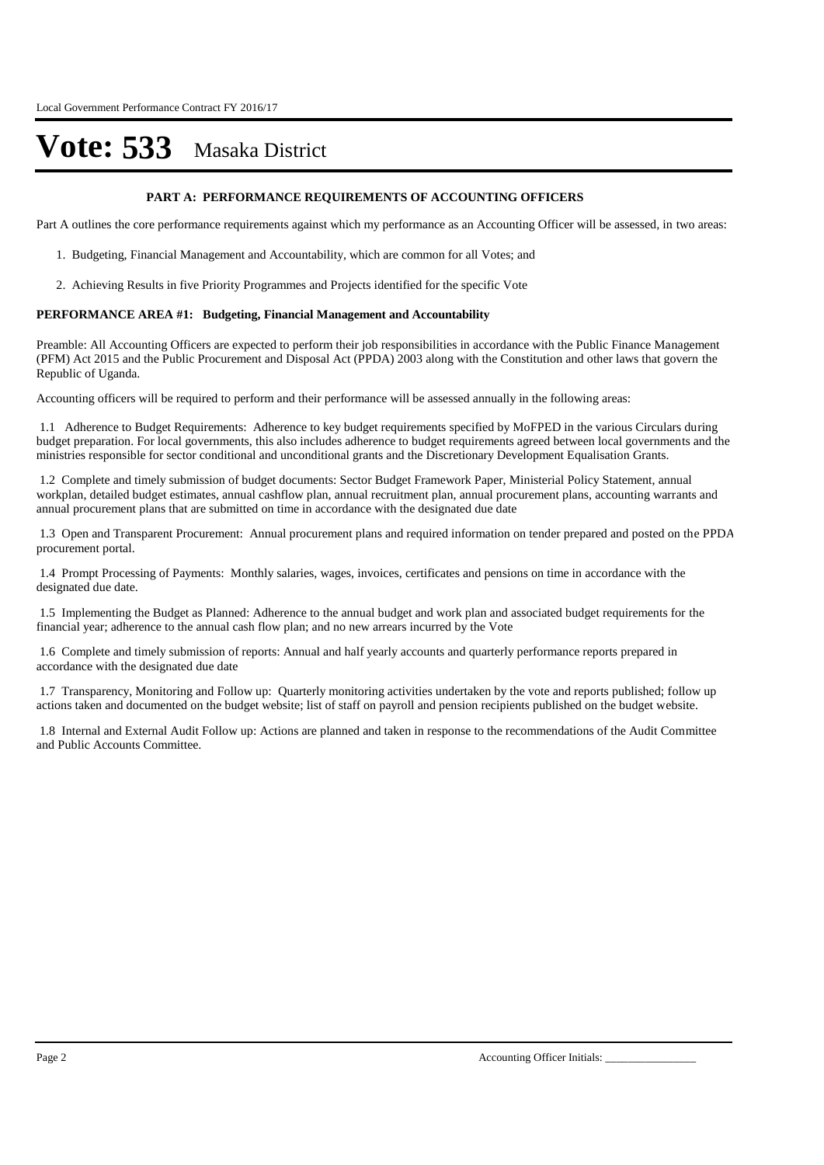#### **PART A: PERFORMANCE REQUIREMENTS OF ACCOUNTING OFFICERS**

Part A outlines the core performance requirements against which my performance as an Accounting Officer will be assessed, in two areas:

- 1. Budgeting, Financial Management and Accountability, which are common for all Votes; and
- 2. Achieving Results in five Priority Programmes and Projects identified for the specific Vote

#### **PERFORMANCE AREA #1: Budgeting, Financial Management and Accountability**

Preamble: All Accounting Officers are expected to perform their job responsibilities in accordance with the Public Finance Management (PFM) Act 2015 and the Public Procurement and Disposal Act (PPDA) 2003 along with the Constitution and other laws that govern the Republic of Uganda.

Accounting officers will be required to perform and their performance will be assessed annually in the following areas:

1.1 Adherence to Budget Requirements: Adherence to key budget requirements specified by MoFPED in the various Circulars during budget preparation. For local governments, this also includes adherence to budget requirements agreed between local governments and the ministries responsible for sector conditional and unconditional grants and the Discretionary Development Equalisation Grants.

1.2 Complete and timely submission of budget documents: Sector Budget Framework Paper, Ministerial Policy Statement, annual workplan, detailed budget estimates, annual cashflow plan, annual recruitment plan, annual procurement plans, accounting warrants and annual procurement plans that are submitted on time in accordance with the designated due date

1.3 Open and Transparent Procurement: Annual procurement plans and required information on tender prepared and posted on the PPDA procurement portal.

1.4 Prompt Processing of Payments: Monthly salaries, wages, invoices, certificates and pensions on time in accordance with the designated due date.

1.5 Implementing the Budget as Planned: Adherence to the annual budget and work plan and associated budget requirements for the financial year; adherence to the annual cash flow plan; and no new arrears incurred by the Vote

1.6 Complete and timely submission of reports: Annual and half yearly accounts and quarterly performance reports prepared in accordance with the designated due date

1.7 Transparency, Monitoring and Follow up: Quarterly monitoring activities undertaken by the vote and reports published; follow up actions taken and documented on the budget website; list of staff on payroll and pension recipients published on the budget website.

1.8 Internal and External Audit Follow up: Actions are planned and taken in response to the recommendations of the Audit Committee and Public Accounts Committee.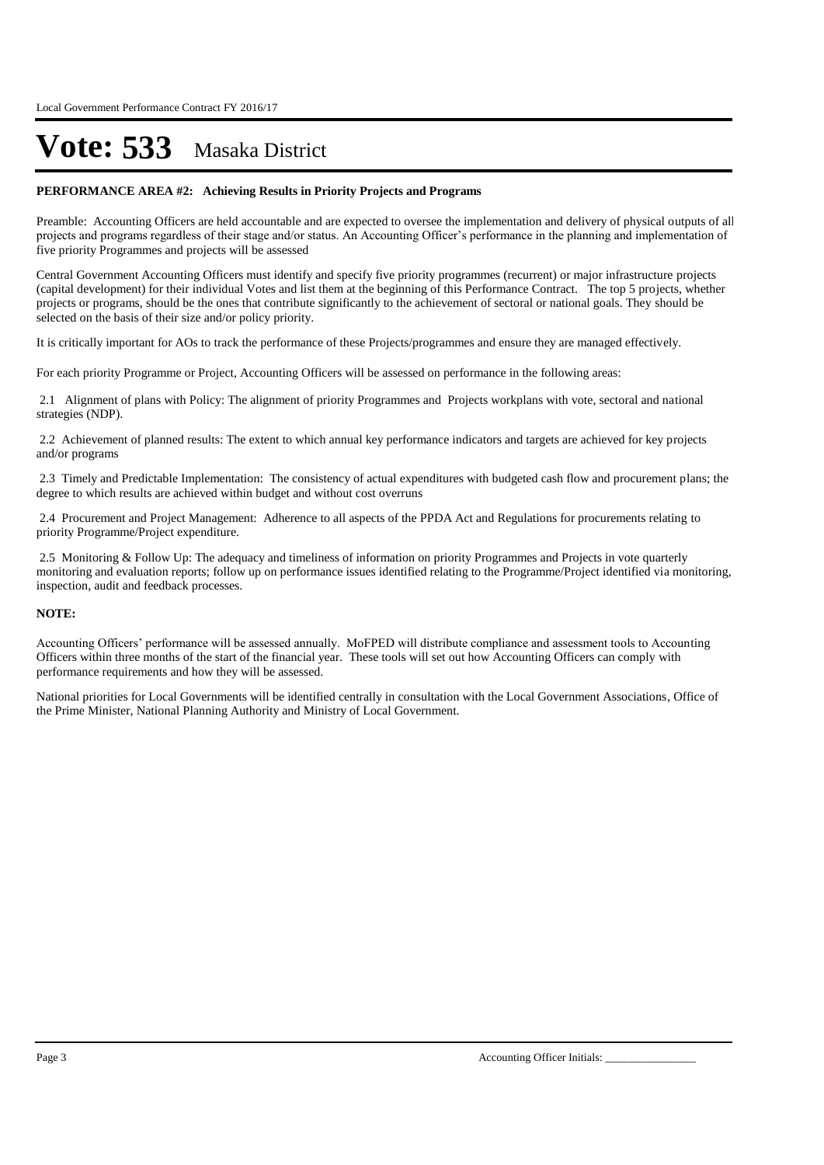#### **PERFORMANCE AREA #2: Achieving Results in Priority Projects and Programs**

Preamble: Accounting Officers are held accountable and are expected to oversee the implementation and delivery of physical outputs of all projects and programs regardless of their stage and/or status. An Accounting Officer's performance in the planning and implementation of five priority Programmes and projects will be assessed

Central Government Accounting Officers must identify and specify five priority programmes (recurrent) or major infrastructure projects (capital development) for their individual Votes and list them at the beginning of this Performance Contract. The top 5 projects, whether projects or programs, should be the ones that contribute significantly to the achievement of sectoral or national goals. They should be selected on the basis of their size and/or policy priority.

It is critically important for AOs to track the performance of these Projects/programmes and ensure they are managed effectively.

For each priority Programme or Project, Accounting Officers will be assessed on performance in the following areas:

2.1 Alignment of plans with Policy: The alignment of priority Programmes and Projects workplans with vote, sectoral and national strategies (NDP).

2.2 Achievement of planned results: The extent to which annual key performance indicators and targets are achieved for key projects and/or programs

2.3 Timely and Predictable Implementation: The consistency of actual expenditures with budgeted cash flow and procurement plans; the degree to which results are achieved within budget and without cost overruns

2.4 Procurement and Project Management: Adherence to all aspects of the PPDA Act and Regulations for procurements relating to priority Programme/Project expenditure.

2.5 Monitoring & Follow Up: The adequacy and timeliness of information on priority Programmes and Projects in vote quarterly monitoring and evaluation reports; follow up on performance issues identified relating to the Programme/Project identified via monitoring, inspection, audit and feedback processes.

#### **NOTE:**

Accounting Officers' performance will be assessed annually. MoFPED will distribute compliance and assessment tools to Accounting Officers within three months of the start of the financial year. These tools will set out how Accounting Officers can comply with performance requirements and how they will be assessed.

National priorities for Local Governments will be identified centrally in consultation with the Local Government Associations, Office of the Prime Minister, National Planning Authority and Ministry of Local Government.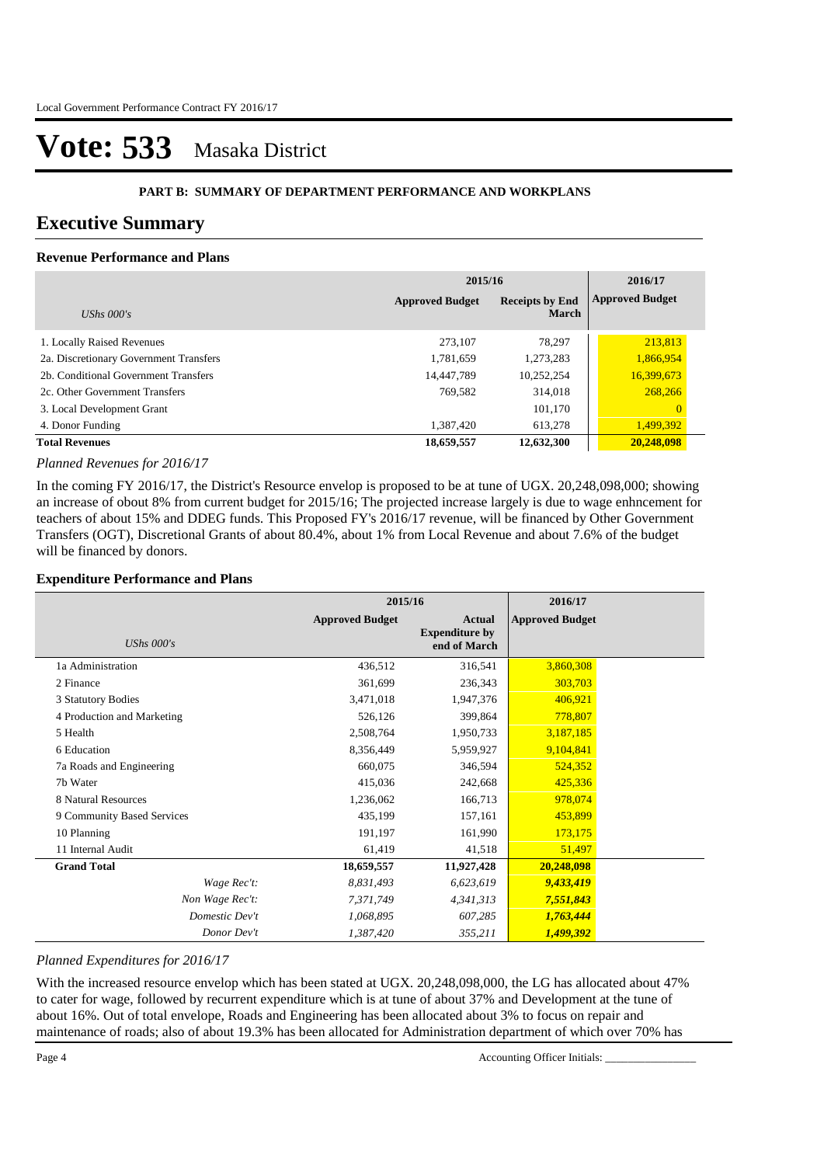#### **PART B: SUMMARY OF DEPARTMENT PERFORMANCE AND WORKPLANS**

### **Executive Summary**

### **Revenue Performance and Plans**

|                                        | 2015/16                | 2016/17                                |                        |
|----------------------------------------|------------------------|----------------------------------------|------------------------|
| UShs $000's$                           | <b>Approved Budget</b> | <b>Receipts by End</b><br><b>March</b> | <b>Approved Budget</b> |
| 1. Locally Raised Revenues             | 273.107                | 78.297                                 | 213,813                |
| 2a. Discretionary Government Transfers | 1,781,659              | 1,273,283                              | 1,866,954              |
| 2b. Conditional Government Transfers   | 14,447,789             | 10,252,254                             | 16,399,673             |
| 2c. Other Government Transfers         | 769.582                | 314,018                                | 268,266                |
| 3. Local Development Grant             |                        | 101,170                                | $\mathbf{0}$           |
| 4. Donor Funding                       | 1,387,420              | 613,278                                | 1,499,392              |
| <b>Total Revenues</b>                  | 18,659,557             | 12,632,300                             | 20,248,098             |

#### *Planned Revenues for 2016/17*

In the coming FY 2016/17, the District's Resource envelop is proposed to be at tune of UGX. 20,248,098,000; showing an increase of obout 8% from current budget for 2015/16; The projected increase largely is due to wage enhncement for teachers of about 15% and DDEG funds. This Proposed FY's 2016/17 revenue, will be financed by Other Government Transfers (OGT), Discretional Grants of about 80.4%, about 1% from Local Revenue and about 7.6% of the budget will be financed by donors.

#### **Expenditure Performance and Plans**

|                            | 2015/16                |                                                        | 2016/17                |  |
|----------------------------|------------------------|--------------------------------------------------------|------------------------|--|
| UShs $000's$               | <b>Approved Budget</b> | <b>Actual</b><br><b>Expenditure by</b><br>end of March | <b>Approved Budget</b> |  |
| 1a Administration          | 436,512                | 316,541                                                | 3,860,308              |  |
| 2 Finance                  | 361,699                | 236,343                                                | 303,703                |  |
| 3 Statutory Bodies         | 3,471,018              | 1,947,376                                              | 406,921                |  |
| 4 Production and Marketing | 526,126                | 399,864                                                | 778,807                |  |
| 5 Health                   | 2,508,764              | 1,950,733                                              | 3,187,185              |  |
| 6 Education                | 8,356,449              | 5,959,927                                              | 9,104,841              |  |
| 7a Roads and Engineering   | 660,075                | 346,594                                                | 524,352                |  |
| 7b Water                   | 415,036                | 242,668                                                | 425,336                |  |
| 8 Natural Resources        | 1,236,062              | 166,713                                                | 978,074                |  |
| 9 Community Based Services | 435,199                | 157,161                                                | 453,899                |  |
| 10 Planning                | 191,197                | 161,990                                                | 173,175                |  |
| 11 Internal Audit          | 61,419                 | 41,518                                                 | 51,497                 |  |
| <b>Grand Total</b>         | 18,659,557             | 11,927,428                                             | 20,248,098             |  |
| Wage Rec't:                | 8,831,493              | 6,623,619                                              | 9,433,419              |  |
| Non Wage Rec't:            | 7,371,749              | 4,341,313                                              | 7,551,843              |  |
| Domestic Dev't             | 1,068,895              | 607,285                                                | 1,763,444              |  |
| Donor Dev't                | 1,387,420              | 355,211                                                | 1,499,392              |  |

#### *Planned Expenditures for 2016/17*

With the increased resource envelop which has been stated at UGX. 20,248,098,000, the LG has allocated about 47% to cater for wage, followed by recurrent expenditure which is at tune of about 37% and Development at the tune of about 16%. Out of total envelope, Roads and Engineering has been allocated about 3% to focus on repair and maintenance of roads; also of about 19.3% has been allocated for Administration department of which over 70% has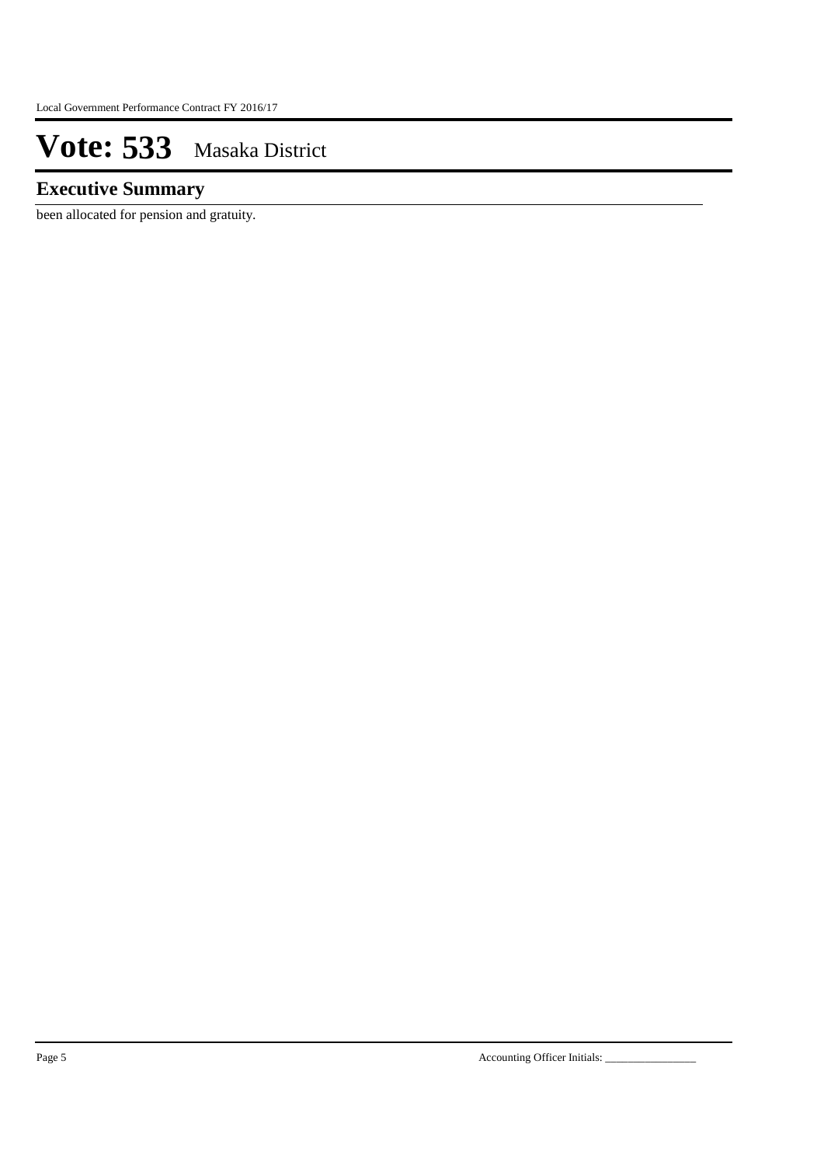### **Executive Summary**

been allocated for pension and gratuity.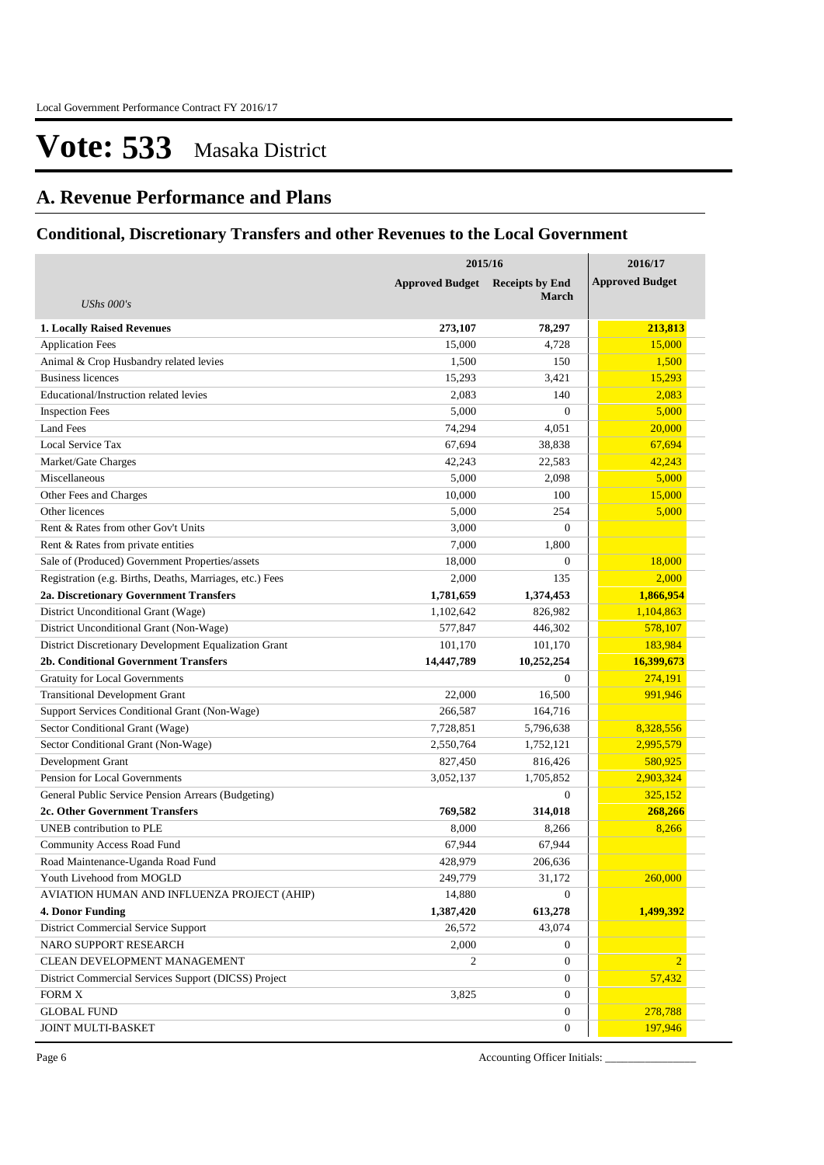## **A. Revenue Performance and Plans**

### **Conditional, Discretionary Transfers and other Revenues to the Local Government**

|                                                          | 2015/16                                          | 2016/17          |                        |
|----------------------------------------------------------|--------------------------------------------------|------------------|------------------------|
|                                                          | <b>Approved Budget</b><br><b>Receipts by End</b> |                  | <b>Approved Budget</b> |
| <b>UShs 000's</b>                                        |                                                  | <b>March</b>     |                        |
| <b>1. Locally Raised Revenues</b>                        | 273,107                                          | 78,297           | 213,813                |
| <b>Application Fees</b>                                  | 15,000                                           | 4,728            | 15,000                 |
| Animal & Crop Husbandry related levies                   | 1,500                                            | 150              | 1,500                  |
| <b>Business licences</b>                                 | 15,293                                           | 3,421            | 15,293                 |
| Educational/Instruction related levies                   | 2,083                                            | 140              | 2,083                  |
| <b>Inspection Fees</b>                                   | 5,000                                            | $\overline{0}$   | 5,000                  |
| <b>Land Fees</b>                                         | 74,294                                           | 4,051            | 20,000                 |
| Local Service Tax                                        | 67,694                                           | 38,838           | 67,694                 |
| Market/Gate Charges                                      | 42,243                                           | 22,583           | 42,243                 |
| Miscellaneous                                            | 5,000                                            | 2,098            | 5,000                  |
| Other Fees and Charges                                   | 10,000                                           | 100              | 15,000                 |
| Other licences                                           | 5,000                                            | 254              | 5,000                  |
| Rent & Rates from other Gov't Units                      | 3,000                                            | $\theta$         |                        |
| Rent & Rates from private entities                       | 7,000                                            | 1,800            |                        |
| Sale of (Produced) Government Properties/assets          | 18,000                                           | $\overline{0}$   | 18,000                 |
| Registration (e.g. Births, Deaths, Marriages, etc.) Fees | 2,000                                            | 135              | 2,000                  |
| 2a. Discretionary Government Transfers                   | 1,781,659                                        | 1,374,453        | 1,866,954              |
| District Unconditional Grant (Wage)                      | 1,102,642                                        | 826,982          | 1,104,863              |
| District Unconditional Grant (Non-Wage)                  | 577,847                                          | 446,302          | 578,107                |
| District Discretionary Development Equalization Grant    | 101,170                                          | 101,170          | 183,984                |
| <b>2b. Conditional Government Transfers</b>              | 14,447,789                                       | 10,252,254       | 16,399,673             |
| <b>Gratuity for Local Governments</b>                    |                                                  | $\theta$         | 274,191                |
| <b>Transitional Development Grant</b>                    | 22,000                                           | 16,500           | 991,946                |
| Support Services Conditional Grant (Non-Wage)            | 266,587                                          | 164,716          |                        |
| Sector Conditional Grant (Wage)                          | 7,728,851                                        | 5,796,638        | 8,328,556              |
| Sector Conditional Grant (Non-Wage)                      | 2,550,764                                        | 1,752,121        | 2,995,579              |
| Development Grant                                        | 827,450                                          | 816,426          | 580,925                |
| Pension for Local Governments                            | 3,052,137                                        | 1,705,852        | 2,903,324              |
| General Public Service Pension Arrears (Budgeting)       |                                                  | $\theta$         | 325,152                |
| 2c. Other Government Transfers                           | 769,582                                          | 314,018          | 268,266                |
| UNEB contribution to PLE                                 | 8,000                                            | 8,266            | 8,266                  |
| <b>Community Access Road Fund</b>                        | 67,944                                           | 67,944           |                        |
| Road Maintenance-Uganda Road Fund                        | 428,979                                          | 206.636          |                        |
| Youth Livehood from MOGLD                                | 249,779                                          | 31,172           | 260,000                |
| AVIATION HUMAN AND INFLUENZA PROJECT (AHIP)              | 14,880                                           | $\mathbf{0}$     |                        |
| <b>4. Donor Funding</b>                                  | 1,387,420                                        | 613,278          | 1,499,392              |
| <b>District Commercial Service Support</b>               | 26,572                                           | 43,074           |                        |
| NARO SUPPORT RESEARCH                                    | 2,000                                            | $\boldsymbol{0}$ |                        |
| CLEAN DEVELOPMENT MANAGEMENT                             | 2                                                | $\mathbf{0}$     | $\overline{2}$         |
| District Commercial Services Support (DICSS) Project     |                                                  | $\mathbf{0}$     | 57,432                 |
| ${\rm FORM}$ X                                           | 3,825                                            | $\mathbf{0}$     |                        |
| <b>GLOBAL FUND</b>                                       |                                                  | $\mathbf{0}$     | 278,788                |
| JOINT MULTI-BASKET                                       |                                                  | $\mathbf{0}$     | 197,946                |

Page 6 Accounting Officer Initials: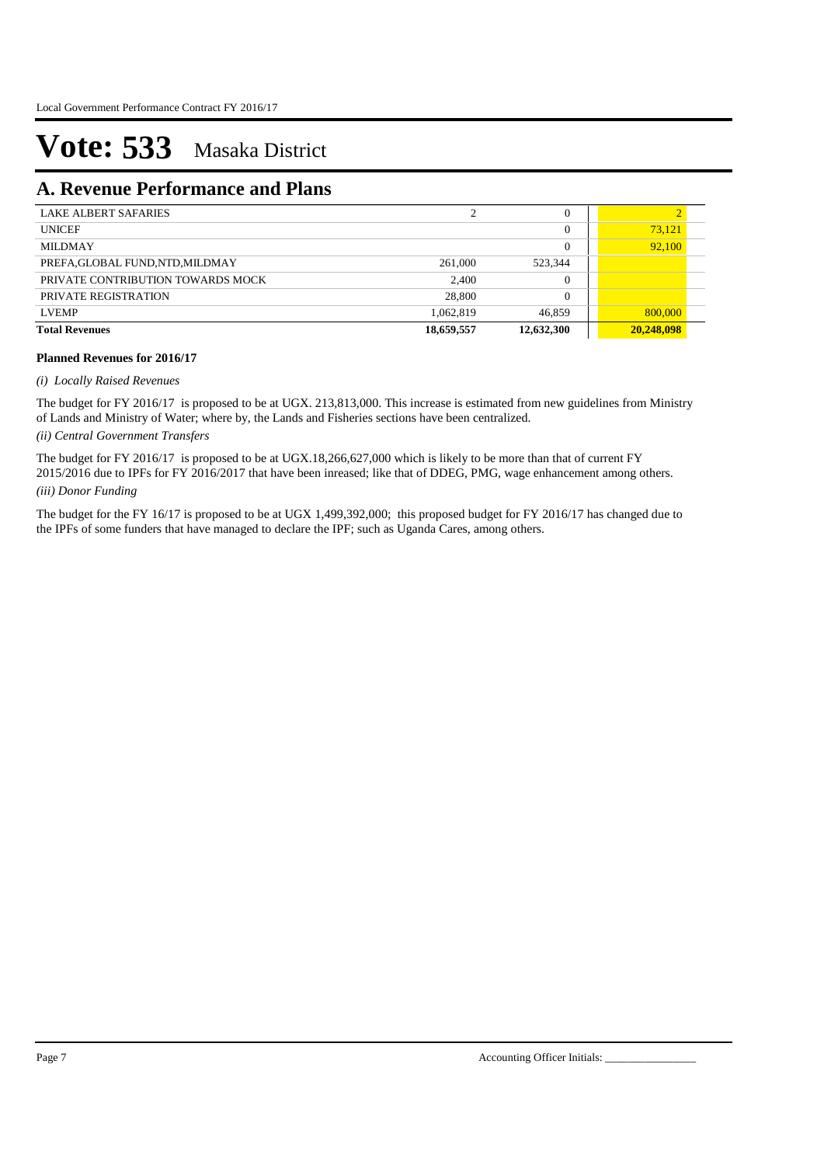### **A. Revenue Performance and Plans**

| <b>LAKE ALBERT SAFARIES</b>       |            | $^{(1)}$       |            |
|-----------------------------------|------------|----------------|------------|
| <b>UNICEF</b>                     |            | $\Omega$       | 73,121     |
| <b>MILDMAY</b>                    |            | $\overline{0}$ | 92.100     |
| PREFA, GLOBAL FUND, NTD, MILDMAY  | 261,000    | 523,344        |            |
| PRIVATE CONTRIBUTION TOWARDS MOCK | 2,400      | 0              |            |
| PRIVATE REGISTRATION              | 28,800     | $\Omega$       |            |
| <b>LVEMP</b>                      | 1,062,819  | 46,859         | 800,000    |
| <b>Total Revenues</b>             | 18,659,557 | 12,632,300     | 20,248,098 |

#### **Planned Revenues for 2016/17**

#### *(i) Locally Raised Revenues*

The budget for FY 2016/17 is proposed to be at UGX. 213,813,000. This increase is estimated from new guidelines from Ministry of Lands and Ministry of Water; where by, the Lands and Fisheries sections have been centralized.

*(ii) Central Government Transfers*

*(iii) Donor Funding* The budget for FY 2016/17 is proposed to be at UGX.18,266,627,000 which is likely to be more than that of current FY 2015/2016 due to IPFs for FY 2016/2017 that have been inreased; like that of DDEG, PMG, wage enhancement among others.

The budget for the FY 16/17 is proposed to be at UGX 1,499,392,000; this proposed budget for FY 2016/17 has changed due to the IPFs of some funders that have managed to declare the IPF; such as Uganda Cares, among others.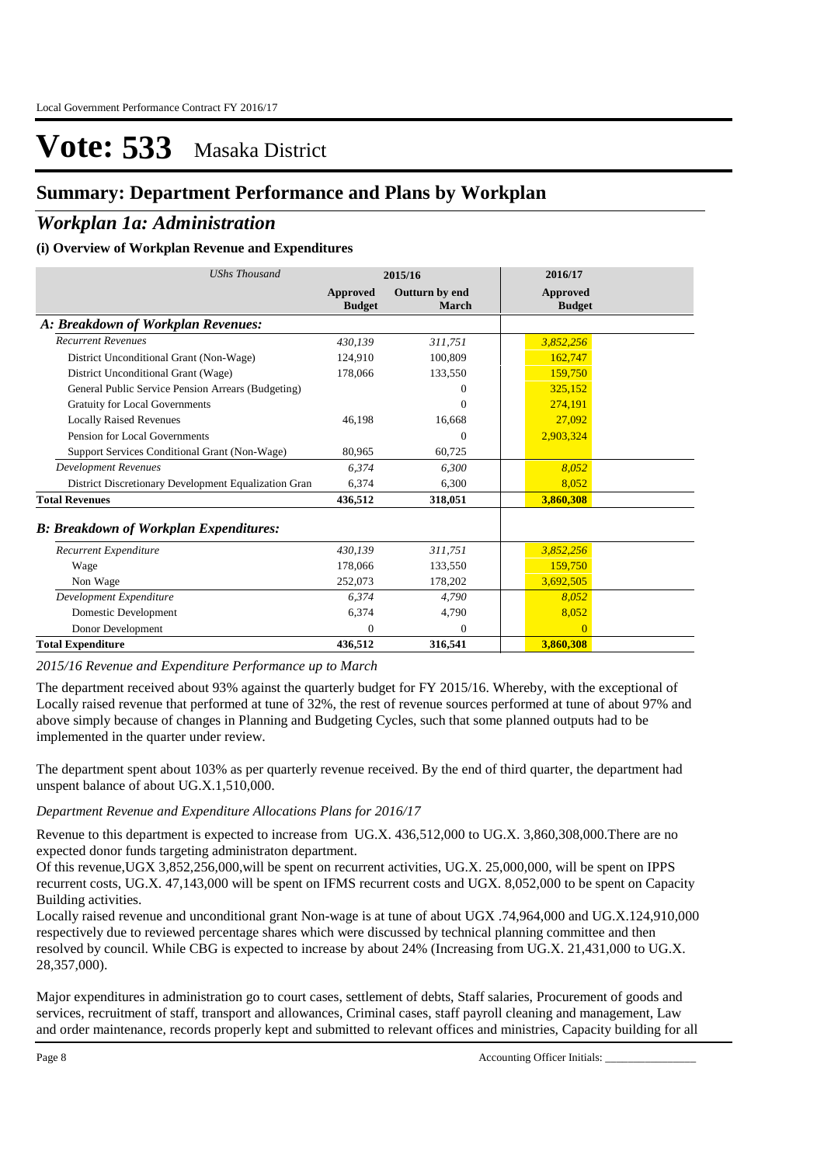### **Summary: Department Performance and Plans by Workplan**

### *Workplan 1a: Administration*

### **(i) Overview of Workplan Revenue and Expenditures**

| <b>UShs Thousand</b>                                 |                           | 2015/16                 | 2016/17                          |  |
|------------------------------------------------------|---------------------------|-------------------------|----------------------------------|--|
|                                                      | Approved<br><b>Budget</b> | Outturn by end<br>March | <b>Approved</b><br><b>Budget</b> |  |
| A: Breakdown of Workplan Revenues:                   |                           |                         |                                  |  |
| <b>Recurrent Revenues</b>                            | 430.139                   | 311,751                 | 3,852,256                        |  |
| District Unconditional Grant (Non-Wage)              | 124,910                   | 100,809                 | 162,747                          |  |
| District Unconditional Grant (Wage)                  | 178,066                   | 133,550                 | 159,750                          |  |
| General Public Service Pension Arrears (Budgeting)   |                           | 0                       | 325,152                          |  |
| <b>Gratuity for Local Governments</b>                |                           | $\theta$                | 274.191                          |  |
| <b>Locally Raised Revenues</b>                       | 46,198                    | 16,668                  | 27,092                           |  |
| Pension for Local Governments                        |                           | $\Omega$                | 2,903,324                        |  |
| Support Services Conditional Grant (Non-Wage)        | 80,965                    | 60,725                  |                                  |  |
| <b>Development Revenues</b>                          | 6.374                     | 6,300                   | 8,052                            |  |
| District Discretionary Development Equalization Gran | 6,374                     | 6,300                   | 8.052                            |  |
| <b>Total Revenues</b>                                | 436,512                   | 318,051                 | 3,860,308                        |  |
| <b>B: Breakdown of Workplan Expenditures:</b>        |                           |                         |                                  |  |
| Recurrent Expenditure                                | 430.139                   | 311,751                 | 3,852,256                        |  |
| Wage                                                 | 178,066                   | 133,550                 | 159,750                          |  |
| Non Wage                                             | 252,073                   | 178,202                 | 3,692,505                        |  |
| Development Expenditure                              | 6.374                     | 4,790                   | 8.052                            |  |
| Domestic Development                                 | 6,374                     | 4,790                   | 8,052                            |  |
| Donor Development                                    | $\Omega$                  | $\mathbf{0}$            | $\Omega$                         |  |
| <b>Total Expenditure</b>                             | 436,512                   | 316,541                 | 3,860,308                        |  |

*2015/16 Revenue and Expenditure Performance up to March*

The department received about 93% against the quarterly budget for FY 2015/16. Whereby, with the exceptional of Locally raised revenue that performed at tune of 32%, the rest of revenue sources performed at tune of about 97% and above simply because of changes in Planning and Budgeting Cycles, such that some planned outputs had to be implemented in the quarter under review.

The department spent about 103% as per quarterly revenue received. By the end of third quarter, the department had unspent balance of about UG.X.1,510,000.

### *Department Revenue and Expenditure Allocations Plans for 2016/17*

Revenue to this department is expected to increase from UG.X. 436,512,000 to UG.X. 3,860,308,000.There are no expected donor funds targeting administraton department.

Of this revenue,UGX 3,852,256,000,will be spent on recurrent activities, UG.X. 25,000,000, will be spent on IPPS recurrent costs, UG.X. 47,143,000 will be spent on IFMS recurrent costs and UGX. 8,052,000 to be spent on Capacity Building activities.

Locally raised revenue and unconditional grant Non-wage is at tune of about UGX .74,964,000 and UG.X.124,910,000 respectively due to reviewed percentage shares which were discussed by technical planning committee and then resolved by council. While CBG is expected to increase by about 24% (Increasing from UG.X. 21,431,000 to UG.X. 28,357,000).

Major expenditures in administration go to court cases, settlement of debts, Staff salaries, Procurement of goods and services, recruitment of staff, transport and allowances, Criminal cases, staff payroll cleaning and management, Law and order maintenance, records properly kept and submitted to relevant offices and ministries, Capacity building for all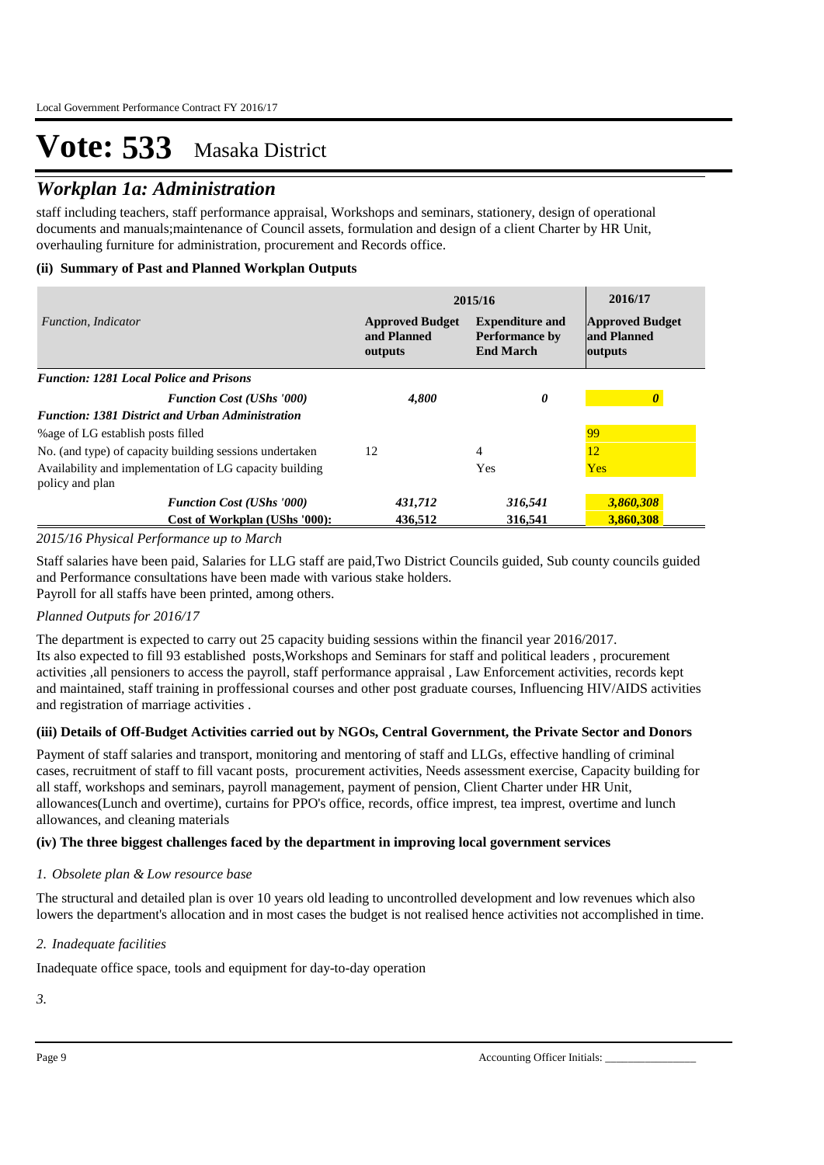### *Workplan 1a: Administration*

staff including teachers, staff performance appraisal, Workshops and seminars, stationery, design of operational documents and manuals;maintenance of Council assets, formulation and design of a client Charter by HR Unit, overhauling furniture for administration, procurement and Records office.

### **(ii) Summary of Past and Planned Workplan Outputs**

|                                                                            | 2015/16                                                                                                                 | 2016/17 |                                                  |
|----------------------------------------------------------------------------|-------------------------------------------------------------------------------------------------------------------------|---------|--------------------------------------------------|
| Function, Indicator                                                        | <b>Expenditure and</b><br><b>Approved Budget</b><br>and Planned<br><b>Performance by</b><br><b>End March</b><br>outputs |         | <b>Approved Budget</b><br>and Planned<br>outputs |
| <b>Function: 1281 Local Police and Prisons</b>                             |                                                                                                                         |         |                                                  |
| <b>Function Cost (UShs '000)</b>                                           | 4,800                                                                                                                   | 0       | 0                                                |
| <b>Function: 1381 District and Urban Administration</b>                    |                                                                                                                         |         |                                                  |
| % age of LG establish posts filled                                         |                                                                                                                         |         | 99                                               |
| No. (and type) of capacity building sessions undertaken                    | 12                                                                                                                      | 4       | 12                                               |
| Availability and implementation of LG capacity building<br>policy and plan |                                                                                                                         | Yes     | <b>Yes</b>                                       |
| <b>Function Cost (UShs '000)</b>                                           | 431,712                                                                                                                 | 316,541 | 3,860,308                                        |
| Cost of Workplan (UShs '000):                                              | 436.512                                                                                                                 | 316.541 | 3,860,308                                        |

### *2015/16 Physical Performance up to March*

Staff salaries have been paid, Salaries for LLG staff are paid,Two District Councils guided, Sub county councils guided and Performance consultations have been made with various stake holders. Payroll for all staffs have been printed, among others.

### *Planned Outputs for 2016/17*

The department is expected to carry out 25 capacity buiding sessions within the financil year 2016/2017. Its also expected to fill 93 established posts,Workshops and Seminars for staff and political leaders , procurement activities ,all pensioners to access the payroll, staff performance appraisal , Law Enforcement activities, records kept and maintained, staff training in proffessional courses and other post graduate courses, Influencing HIV/AIDS activities and registration of marriage activities .

### **(iii) Details of Off-Budget Activities carried out by NGOs, Central Government, the Private Sector and Donors**

Payment of staff salaries and transport, monitoring and mentoring of staff and LLGs, effective handling of criminal cases, recruitment of staff to fill vacant posts, procurement activities, Needs assessment exercise, Capacity building for all staff, workshops and seminars, payroll management, payment of pension, Client Charter under HR Unit, allowances(Lunch and overtime), curtains for PPO's office, records, office imprest, tea imprest, overtime and lunch allowances, and cleaning materials

### **(iv) The three biggest challenges faced by the department in improving local government services**

### *Obsolete plan & Low resource base 1.*

The structural and detailed plan is over 10 years old leading to uncontrolled development and low revenues which also lowers the department's allocation and in most cases the budget is not realised hence activities not accomplished in time.

### *Inadequate facilities 2.*

Inadequate office space, tools and equipment for day-to-day operation

*3.*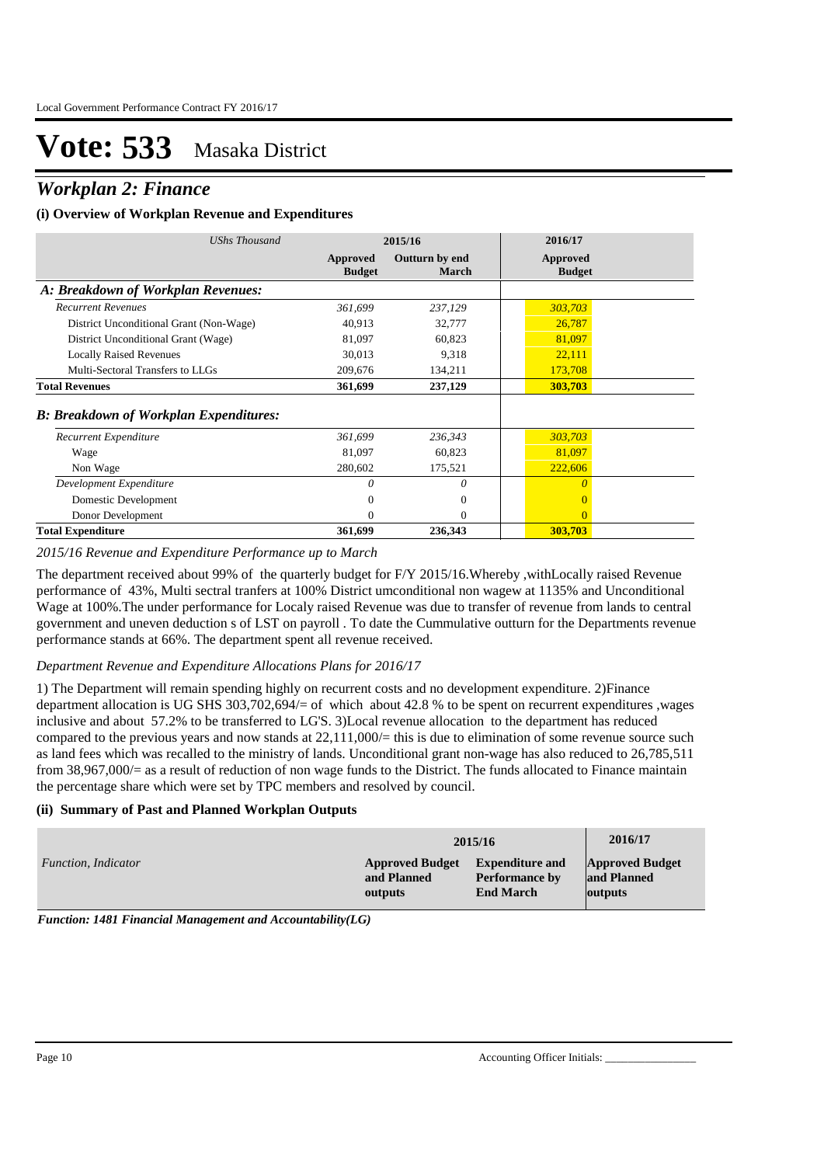### *Workplan 2: Finance*

#### **(i) Overview of Workplan Revenue and Expenditures**

| UShs Thousand                                  |                           | 2015/16                        | 2016/17                   |
|------------------------------------------------|---------------------------|--------------------------------|---------------------------|
|                                                | Approved<br><b>Budget</b> | Outturn by end<br><b>March</b> | Approved<br><b>Budget</b> |
| A: Breakdown of Workplan Revenues:             |                           |                                |                           |
| <b>Recurrent Revenues</b>                      | 361,699                   | 237,129                        | 303,703                   |
| District Unconditional Grant (Non-Wage)        | 40,913                    | 32,777                         | 26,787                    |
| District Unconditional Grant (Wage)            | 81,097                    | 60,823                         | 81,097                    |
| <b>Locally Raised Revenues</b>                 | 30,013                    | 9,318                          | 22,111                    |
| Multi-Sectoral Transfers to LLGs               | 209,676                   | 134,211                        | 173,708                   |
| <b>Total Revenues</b>                          | 361,699                   | 237,129                        | 303,703                   |
| <b>B</b> : Breakdown of Workplan Expenditures: |                           |                                |                           |
| Recurrent Expenditure                          | 361,699                   | 236,343                        | 303,703                   |
| Wage                                           | 81,097                    | 60,823                         | 81,097                    |
| Non Wage                                       | 280,602                   | 175,521                        | 222,606                   |
| Development Expenditure                        | 0                         | $\theta$                       | $\Omega$                  |
| Domestic Development                           | 0                         | $\Omega$                       |                           |
| Donor Development                              | 0                         | $\Omega$                       | $\Omega$                  |
| <b>Total Expenditure</b>                       | 361,699                   | 236.343                        | 303.703                   |

#### *2015/16 Revenue and Expenditure Performance up to March*

The department received about 99% of the quarterly budget for F/Y 2015/16.Whereby ,withLocally raised Revenue performance of 43%, Multi sectral tranfers at 100% District umconditional non wagew at 1135% and Unconditional Wage at 100%.The under performance for Localy raised Revenue was due to transfer of revenue from lands to central government and uneven deduction s of LST on payroll . To date the Cummulative outturn for the Departments revenue performance stands at 66%. The department spent all revenue received.

#### *Department Revenue and Expenditure Allocations Plans for 2016/17*

1) The Department will remain spending highly on recurrent costs and no development expenditure. 2)Finance department allocation is UG SHS 303,702,694/= of which about 42.8 % to be spent on recurrent expenditures ,wages inclusive and about 57.2% to be transferred to LG'S. 3)Local revenue allocation to the department has reduced compared to the previous years and now stands at  $22.111,000/=$  this is due to elimination of some revenue source such as land fees which was recalled to the ministry of lands. Unconditional grant non-wage has also reduced to 26,785,511 from 38,967,000/= as a result of reduction of non wage funds to the District. The funds allocated to Finance maintain the percentage share which were set by TPC members and resolved by council.

#### **(ii) Summary of Past and Planned Workplan Outputs**

|                     |                        | 2015/16                | 2016/17                |
|---------------------|------------------------|------------------------|------------------------|
| Function, Indicator | <b>Approved Budget</b> | <b>Expenditure and</b> | <b>Approved Budget</b> |
|                     | and Planned            | <b>Performance by</b>  | and Planned            |
|                     | outputs                | <b>End March</b>       | outputs                |

*Function: 1481 Financial Management and Accountability(LG)*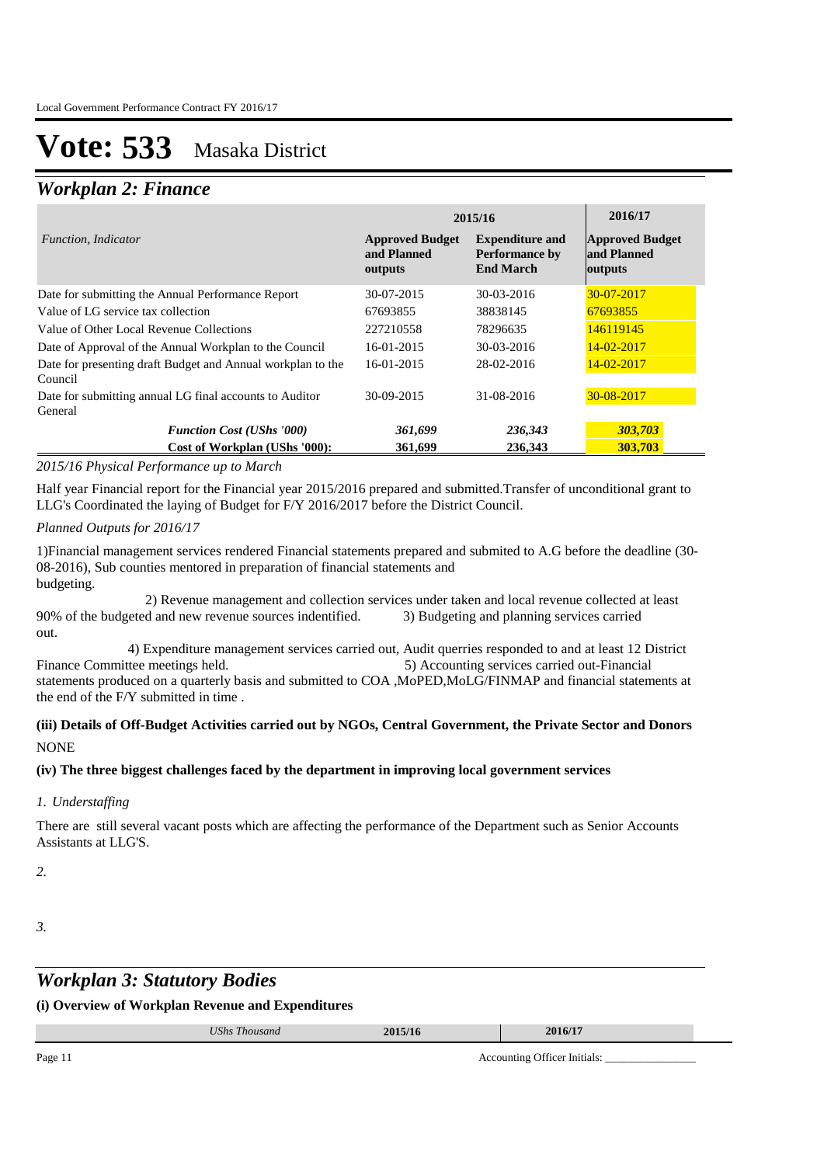### *Workplan 2: Finance*

|                                                                        | 2015/16                                          | 2016/17                                                             |                                                  |
|------------------------------------------------------------------------|--------------------------------------------------|---------------------------------------------------------------------|--------------------------------------------------|
| <i>Function, Indicator</i>                                             | <b>Approved Budget</b><br>and Planned<br>outputs | <b>Expenditure and</b><br><b>Performance by</b><br><b>End March</b> | <b>Approved Budget</b><br>and Planned<br>outputs |
| Date for submitting the Annual Performance Report                      | 30-07-2015                                       | 30-03-2016                                                          | $30 - 07 - 2017$                                 |
| Value of LG service tax collection                                     | 67693855                                         | 38838145                                                            | 67693855                                         |
| Value of Other Local Revenue Collections                               | 227210558                                        | 78296635                                                            | 146119145                                        |
| Date of Approval of the Annual Workplan to the Council                 | 16-01-2015                                       | 30-03-2016                                                          | $14 - 02 - 2017$                                 |
| Date for presenting draft Budget and Annual workplan to the<br>Council | 16-01-2015                                       | 28-02-2016                                                          | 14-02-2017                                       |
| Date for submitting annual LG final accounts to Auditor<br>General     | 30-09-2015                                       | 31-08-2016                                                          | 30-08-2017                                       |
| <b>Function Cost (UShs '000)</b>                                       | 361,699                                          | 236,343                                                             | 303,703                                          |
| Cost of Workplan (UShs '000):                                          | 361,699                                          | 236,343                                                             | 303,703                                          |

### *2015/16 Physical Performance up to March*

Half year Financial report for the Financial year 2015/2016 prepared and submitted.Transfer of unconditional grant to LLG's Coordinated the laying of Budget for F/Y 2016/2017 before the District Council.

### *Planned Outputs for 2016/17*

1)Financial management services rendered Financial statements prepared and submited to A.G before the deadline (30- 08-2016), Sub counties mentored in preparation of financial statements and budgeting.

 2) Revenue management and collection services under taken and local revenue collected at least 90% of the budgeted and new revenue sources indentified. 3) Budgeting and planning services carried out.

 4) Expenditure management services carried out, Audit querries responded to and at least 12 District Finance Committee meetings held. 5) Accounting services carried out-Financial statements produced on a quarterly basis and submitted to COA ,MoPED,MoLG/FINMAP and financial statements at the end of the F/Y submitted in time .

### **(iii) Details of Off-Budget Activities carried out by NGOs, Central Government, the Private Sector and Donors NONE**

### **(iv) The three biggest challenges faced by the department in improving local government services**

### *Understaffing 1.*

There are still several vacant posts which are affecting the performance of the Department such as Senior Accounts Assistants at LLG'S.

*2.*

#### *3.*

### *Workplan 3: Statutory Bodies*

**(i) Overview of Workplan Revenue and Expenditures**

|    | UShs<br>m<br><i>Thousand</i> | 2015/1'<br>.3/ 10 |               | 2016/17 |  |
|----|------------------------------|-------------------|---------------|---------|--|
| __ |                              |                   | $\sim$ $\sim$ | .       |  |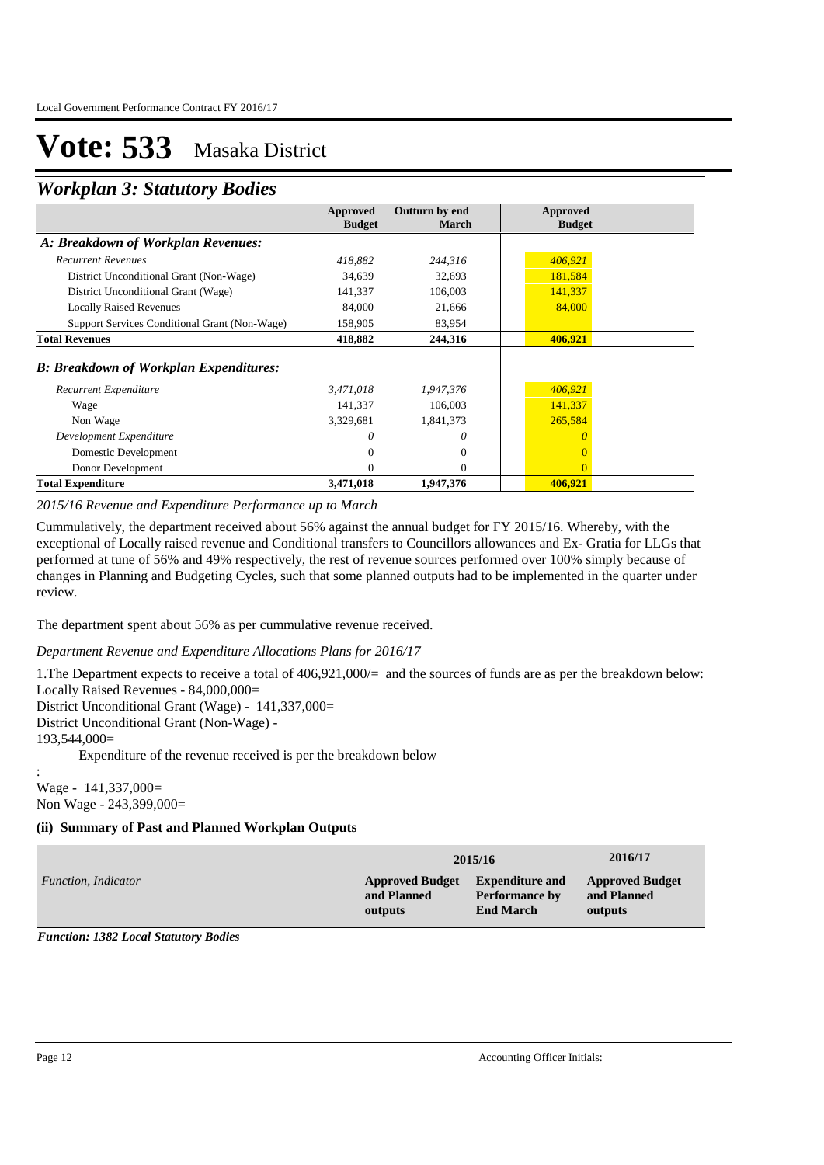### *Workplan 3: Statutory Bodies*

|                                               | Approved<br><b>Budget</b> | Outturn by end<br><b>March</b> | Approved<br><b>Budget</b> |
|-----------------------------------------------|---------------------------|--------------------------------|---------------------------|
| A: Breakdown of Workplan Revenues:            |                           |                                |                           |
| <b>Recurrent Revenues</b>                     | 418,882                   | 244,316                        | 406,921                   |
| District Unconditional Grant (Non-Wage)       | 34,639                    | 32,693                         | 181,584                   |
| District Unconditional Grant (Wage)           | 141,337                   | 106,003                        | 141,337                   |
| <b>Locally Raised Revenues</b>                | 84,000                    | 21,666                         | 84,000                    |
| Support Services Conditional Grant (Non-Wage) | 158,905                   | 83,954                         |                           |
| <b>Total Revenues</b>                         | 418,882                   | 244,316                        | 406,921                   |
| <b>B: Breakdown of Workplan Expenditures:</b> |                           |                                |                           |
| Recurrent Expenditure                         | 3,471,018                 | 1,947,376                      | 406,921                   |
| Wage                                          | 141,337                   | 106,003                        | 141,337                   |
| Non Wage                                      | 3,329,681                 | 1,841,373                      | 265,584                   |
| Development Expenditure                       | 0                         | 0                              |                           |
| Domestic Development                          | $\Omega$                  | $\theta$                       |                           |
| Donor Development                             | $\Omega$                  | $\Omega$                       | $\Omega$                  |
| <b>Total Expenditure</b>                      | 3,471,018                 | 1,947,376                      | 406,921                   |

*2015/16 Revenue and Expenditure Performance up to March*

Cummulatively, the department received about 56% against the annual budget for FY 2015/16. Whereby, with the exceptional of Locally raised revenue and Conditional transfers to Councillors allowances and Ex- Gratia for LLGs that performed at tune of 56% and 49% respectively, the rest of revenue sources performed over 100% simply because of changes in Planning and Budgeting Cycles, such that some planned outputs had to be implemented in the quarter under review.

The department spent about 56% as per cummulative revenue received.

*Department Revenue and Expenditure Allocations Plans for 2016/17*

1.The Department expects to receive a total of 406,921,000/= and the sources of funds are as per the breakdown below: Locally Raised Revenues - 84,000,000= District Unconditional Grant (Wage) - 141,337,000=

District Unconditional Grant (Non-Wage) -

193,544,000=

:

Expenditure of the revenue received is per the breakdown below

Wage - 141,337,000= Non Wage - 243,399,000=

### **(ii) Summary of Past and Planned Workplan Outputs**

|                     | 2015/16                | 2016/17                |                        |
|---------------------|------------------------|------------------------|------------------------|
| Function, Indicator | <b>Approved Budget</b> | <b>Expenditure and</b> | <b>Approved Budget</b> |
|                     | and Planned            | <b>Performance by</b>  | and Planned            |
|                     | outputs                | <b>End March</b>       | outputs                |

*Function: 1382 Local Statutory Bodies*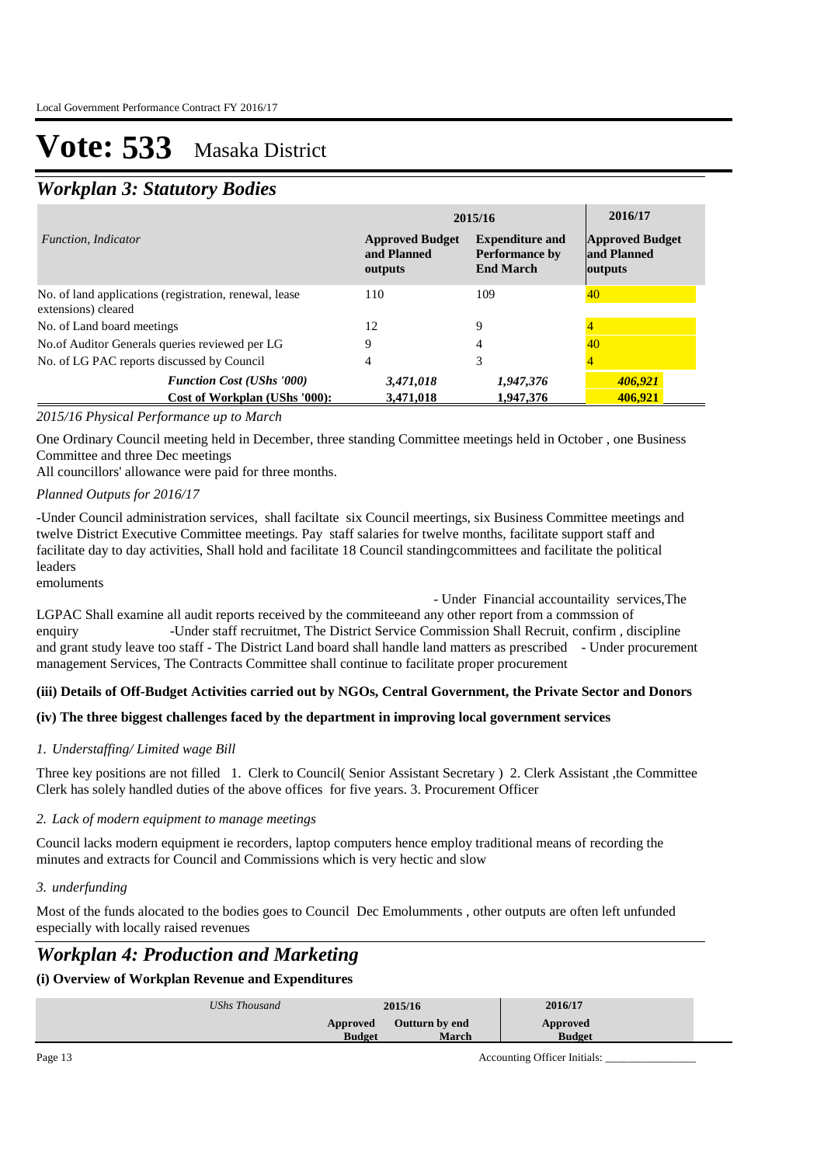## *Workplan 3: Statutory Bodies*

|                                                                               | 2015/16                                          | 2016/17                                                             |                                           |
|-------------------------------------------------------------------------------|--------------------------------------------------|---------------------------------------------------------------------|-------------------------------------------|
| <i>Function. Indicator</i>                                                    | <b>Approved Budget</b><br>and Planned<br>outputs | <b>Expenditure and</b><br><b>Performance by</b><br><b>End March</b> | Approved Budget<br>and Planned<br>outputs |
| No. of land applications (registration, renewal, lease<br>extensions) cleared | 110                                              | 109                                                                 | 40                                        |
| No. of Land board meetings                                                    | 12                                               | Q                                                                   |                                           |
| No.of Auditor Generals queries reviewed per LG                                | 9                                                | 4                                                                   | 40                                        |
| No. of LG PAC reports discussed by Council                                    | 4                                                | 3                                                                   |                                           |
| <b>Function Cost (UShs '000)</b><br>Cost of Workplan (UShs '000):             | 3,471,018<br>3,471,018                           | 1,947,376<br>1,947,376                                              | 406.921<br>406.921                        |

### *2015/16 Physical Performance up to March*

One Ordinary Council meeting held in December, three standing Committee meetings held in October , one Business Committee and three Dec meetings

All councillors' allowance were paid for three months.

### *Planned Outputs for 2016/17*

-Under Council administration services, shall faciltate six Council meertings, six Business Committee meetings and twelve District Executive Committee meetings. Pay staff salaries for twelve months, facilitate support staff and facilitate day to day activities, Shall hold and facilitate 18 Council standingcommittees and facilitate the political leaders

emoluments

- Under Financial accountaility services,The

LGPAC Shall examine all audit reports received by the commiteeand any other report from a commssion of enquiry -Under staff recruitmet, The District Service Commission Shall Recruit, confirm , discipline and grant study leave too staff - The District Land board shall handle land matters as prescribed - Under procurement management Services, The Contracts Committee shall continue to facilitate proper procurement

### **(iii) Details of Off-Budget Activities carried out by NGOs, Central Government, the Private Sector and Donors**

### **(iv) The three biggest challenges faced by the department in improving local government services**

### *Understaffing/ Limited wage Bill 1.*

Three key positions are not filled 1. Clerk to Council( Senior Assistant Secretary ) 2. Clerk Assistant ,the Committee Clerk has solely handled duties of the above offices for five years. 3. Procurement Officer

#### *Lack of modern equipment to manage meetings 2.*

Council lacks modern equipment ie recorders, laptop computers hence employ traditional means of recording the minutes and extracts for Council and Commissions which is very hectic and slow

### *underfunding 3.*

Most of the funds alocated to the bodies goes to Council Dec Emolumments , other outputs are often left unfunded especially with locally raised revenues

### *Workplan 4: Production and Marketing*

### **(i) Overview of Workplan Revenue and Expenditures**

| UShs Thousand | 2015/16       |                | 2016/17       |
|---------------|---------------|----------------|---------------|
|               | Approved      | Outturn by end | Approved      |
|               | <b>Budget</b> | March          | <b>Budget</b> |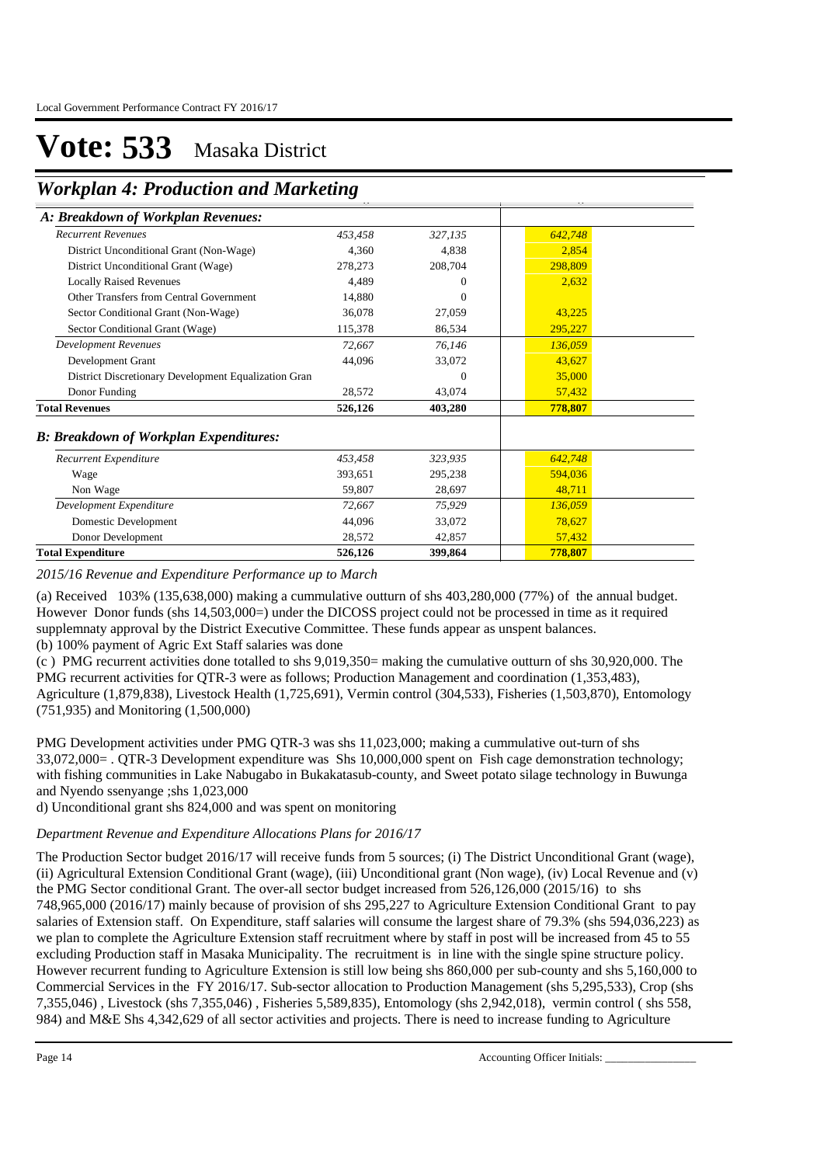**Workplan 4: Production and Marketing Budget**

| <u><i>holiopiane is a l'outrouvil anni main nount</i></u> |         |          |         |  |
|-----------------------------------------------------------|---------|----------|---------|--|
| A: Breakdown of Workplan Revenues:                        |         |          |         |  |
| <b>Recurrent Revenues</b>                                 | 453.458 | 327,135  | 642,748 |  |
| District Unconditional Grant (Non-Wage)                   | 4,360   | 4,838    | 2,854   |  |
| District Unconditional Grant (Wage)                       | 278,273 | 208,704  | 298,809 |  |
| <b>Locally Raised Revenues</b>                            | 4,489   | $\theta$ | 2,632   |  |
| Other Transfers from Central Government                   | 14,880  | $\Omega$ |         |  |
| Sector Conditional Grant (Non-Wage)                       | 36.078  | 27,059   | 43,225  |  |
| Sector Conditional Grant (Wage)                           | 115,378 | 86,534   | 295,227 |  |
| <b>Development Revenues</b>                               | 72,667  | 76,146   | 136,059 |  |
| Development Grant                                         | 44,096  | 33,072   | 43,627  |  |
| District Discretionary Development Equalization Gran      |         | $\Omega$ | 35,000  |  |
| Donor Funding                                             | 28,572  | 43,074   | 57,432  |  |
| <b>Total Revenues</b>                                     | 526,126 | 403,280  | 778,807 |  |
| <b>B: Breakdown of Workplan Expenditures:</b>             |         |          |         |  |
| Recurrent Expenditure                                     | 453,458 | 323,935  | 642,748 |  |
| Wage                                                      | 393,651 | 295,238  | 594,036 |  |
| Non Wage                                                  | 59,807  | 28,697   | 48,711  |  |
| Development Expenditure                                   | 72,667  | 75,929   | 136,059 |  |
| Domestic Development                                      | 44,096  | 33,072   | 78,627  |  |
| Donor Development                                         | 28,572  | 42,857   | 57,432  |  |
| <b>Total Expenditure</b>                                  | 526,126 | 399,864  | 778,807 |  |

*2015/16 Revenue and Expenditure Performance up to March*

(a) Received 103% (135,638,000) making a cummulative outturn of shs 403,280,000 (77%) of the annual budget. However Donor funds (shs 14,503,000=) under the DICOSS project could not be processed in time as it required supplemnaty approval by the District Executive Committee. These funds appear as unspent balances. (b) 100% payment of Agric Ext Staff salaries was done

(c ) PMG recurrent activities done totalled to shs 9,019,350= making the cumulative outturn of shs 30,920,000. The PMG recurrent activities for QTR-3 were as follows; Production Management and coordination (1,353,483), Agriculture (1,879,838), Livestock Health (1,725,691), Vermin control (304,533), Fisheries (1,503,870), Entomology (751,935) and Monitoring (1,500,000)

PMG Development activities under PMG QTR-3 was shs 11,023,000; making a cummulative out-turn of shs 33,072,000= . QTR-3 Development expenditure was Shs 10,000,000 spent on Fish cage demonstration technology; with fishing communities in Lake Nabugabo in Bukakatasub-county, and Sweet potato silage technology in Buwunga and Nyendo ssenyange ;shs 1,023,000

d) Unconditional grant shs 824,000 and was spent on monitoring

### *Department Revenue and Expenditure Allocations Plans for 2016/17*

The Production Sector budget 2016/17 will receive funds from 5 sources; (i) The District Unconditional Grant (wage), (ii) Agricultural Extension Conditional Grant (wage), (iii) Unconditional grant (Non wage), (iv) Local Revenue and (v) the PMG Sector conditional Grant. The over-all sector budget increased from 526,126,000 (2015/16) to shs 748,965,000 (2016/17) mainly because of provision of shs 295,227 to Agriculture Extension Conditional Grant to pay salaries of Extension staff. On Expenditure, staff salaries will consume the largest share of 79.3% (shs 594,036,223) as we plan to complete the Agriculture Extension staff recruitment where by staff in post will be increased from 45 to 55 excluding Production staff in Masaka Municipality. The recruitment is in line with the single spine structure policy. However recurrent funding to Agriculture Extension is still low being shs 860,000 per sub-county and shs 5,160,000 to Commercial Services in the FY 2016/17. Sub-sector allocation to Production Management (shs 5,295,533), Crop (shs 7,355,046) , Livestock (shs 7,355,046) , Fisheries 5,589,835), Entomology (shs 2,942,018), vermin control ( shs 558, 984) and M&E Shs 4,342,629 of all sector activities and projects. There is need to increase funding to Agriculture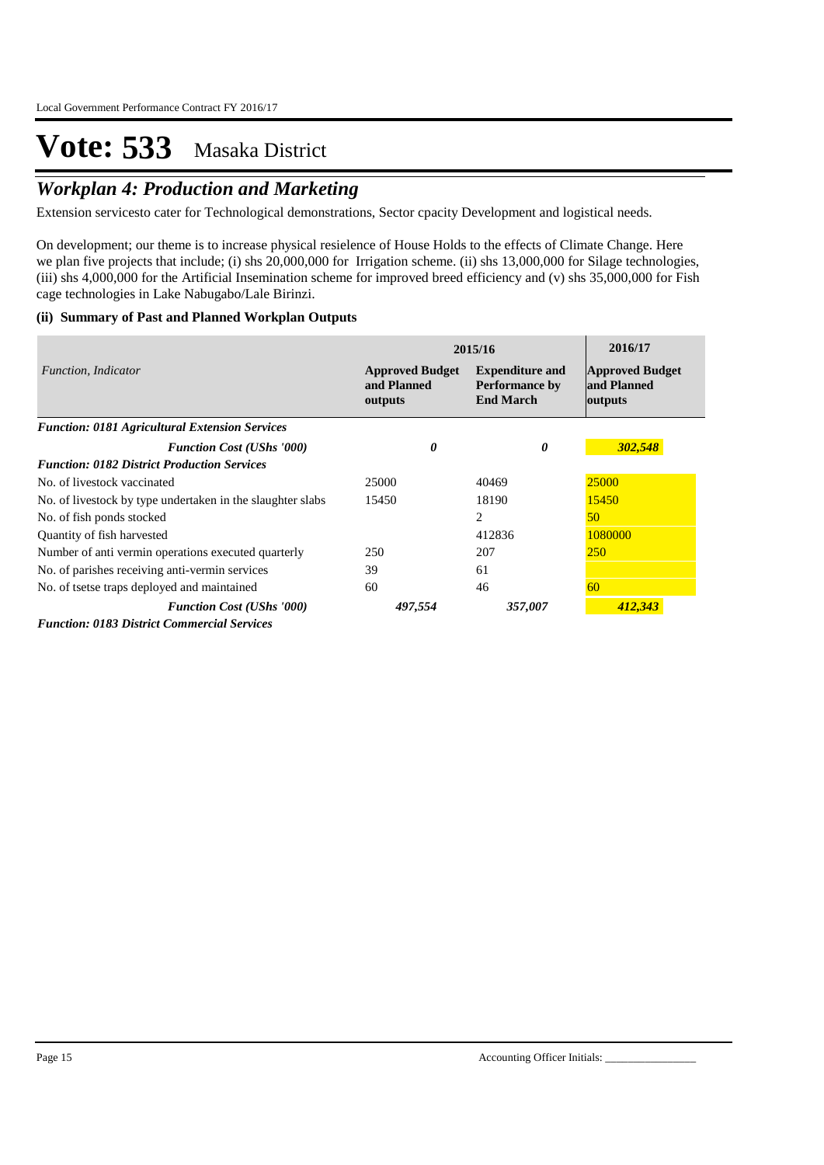## *Workplan 4: Production and Marketing*

Extension servicesto cater for Technological demonstrations, Sector cpacity Development and logistical needs.

On development; our theme is to increase physical resielence of House Holds to the effects of Climate Change. Here we plan five projects that include; (i) shs 20,000,000 for Irrigation scheme. (ii) shs 13,000,000 for Silage technologies, (iii) shs 4,000,000 for the Artificial Insemination scheme for improved breed efficiency and (v) shs 35,000,000 for Fish cage technologies in Lake Nabugabo/Lale Birinzi.

### **(ii) Summary of Past and Planned Workplan Outputs**

|                                                            | 2015/16                                          | 2016/17                                                      |                                                  |
|------------------------------------------------------------|--------------------------------------------------|--------------------------------------------------------------|--------------------------------------------------|
| Function, Indicator                                        | <b>Approved Budget</b><br>and Planned<br>outputs | <b>Expenditure and</b><br>Performance by<br><b>End March</b> | <b>Approved Budget</b><br>and Planned<br>outputs |
| <b>Function: 0181 Agricultural Extension Services</b>      |                                                  |                                                              |                                                  |
| <b>Function Cost (UShs '000)</b>                           | 0                                                | 0                                                            | 302,548                                          |
| <b>Function: 0182 District Production Services</b>         |                                                  |                                                              |                                                  |
| No. of livestock vaccinated                                | 25000                                            | 40469                                                        | 25000                                            |
| No. of livestock by type undertaken in the slaughter slabs | 15450                                            | 18190                                                        | 15450                                            |
| No. of fish ponds stocked                                  |                                                  | 2                                                            | 50                                               |
| Quantity of fish harvested                                 |                                                  | 412836                                                       | 1080000                                          |
| Number of anti-vermin operations executed quarterly        | 250                                              | 207                                                          | <b>250</b>                                       |
| No. of parishes receiving anti-vermin services             | 39                                               | 61                                                           |                                                  |
| No. of tsetse traps deployed and maintained                | 60                                               | 46                                                           | 60                                               |
| <b>Function Cost (UShs '000)</b>                           | 497,554                                          | 357,007                                                      | 412,343                                          |
| <b>Function: 0183 District Commercial Services</b>         |                                                  |                                                              |                                                  |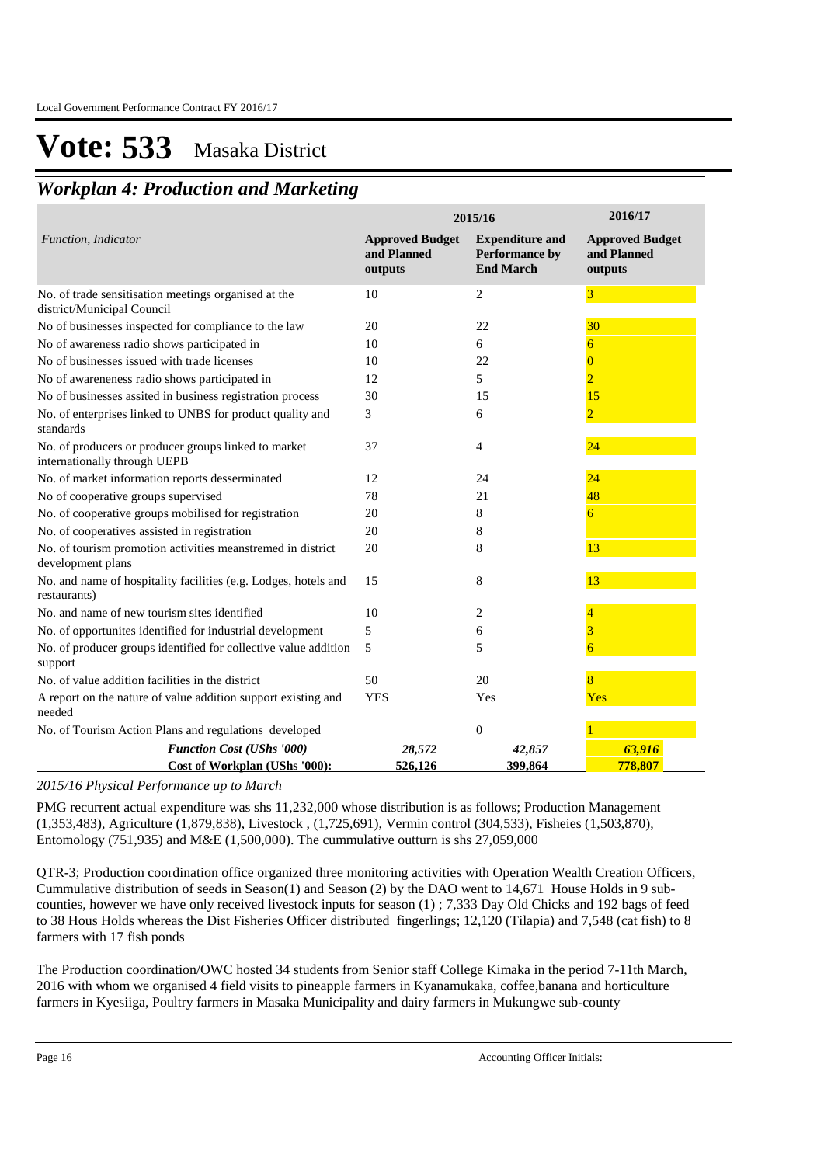### *Workplan 4: Production and Marketing*

|                                                                                      | 2015/16                                          | 2016/17                                                      |                                                  |
|--------------------------------------------------------------------------------------|--------------------------------------------------|--------------------------------------------------------------|--------------------------------------------------|
| Function, Indicator                                                                  | <b>Approved Budget</b><br>and Planned<br>outputs | <b>Expenditure and</b><br>Performance by<br><b>End March</b> | <b>Approved Budget</b><br>and Planned<br>outputs |
| No. of trade sensitisation meetings organised at the<br>district/Municipal Council   | 10                                               | 2                                                            | 3                                                |
| No of businesses inspected for compliance to the law                                 | 20                                               | 22                                                           | 30                                               |
| No of awareness radio shows participated in                                          | 10                                               | 6                                                            | 6                                                |
| No of businesses issued with trade licenses                                          | 10                                               | 22                                                           | 0                                                |
| No of awareneness radio shows participated in                                        | 12                                               | 5                                                            | $\overline{2}$                                   |
| No of businesses assited in business registration process                            | 30                                               | 15                                                           | 15                                               |
| No. of enterprises linked to UNBS for product quality and<br>standards               | 3                                                | 6                                                            |                                                  |
| No. of producers or producer groups linked to market<br>internationally through UEPB | 37                                               | 4                                                            | 24                                               |
| No. of market information reports desserminated                                      | 12                                               | 24                                                           | 24                                               |
| No of cooperative groups supervised                                                  | 78                                               | 21                                                           | 48                                               |
| No. of cooperative groups mobilised for registration                                 | 20                                               | 8                                                            | 6                                                |
| No. of cooperatives assisted in registration                                         | 20                                               | 8                                                            |                                                  |
| No. of tourism promotion activities meanstremed in district<br>development plans     | 20                                               | 8                                                            | 13                                               |
| No. and name of hospitality facilities (e.g. Lodges, hotels and<br>restaurants)      | 15                                               | 8                                                            | 13                                               |
| No. and name of new tourism sites identified                                         | 10                                               | 2                                                            |                                                  |
| No. of opportunites identified for industrial development                            | 5                                                | 6                                                            | 3                                                |
| No. of producer groups identified for collective value addition<br>support           | 5                                                | 5                                                            | 6                                                |
| No. of value addition facilities in the district                                     | 50                                               | 20                                                           |                                                  |
| A report on the nature of value addition support existing and<br>needed              | <b>YES</b>                                       | Yes                                                          | Yes                                              |
| No. of Tourism Action Plans and regulations developed                                |                                                  | $\boldsymbol{0}$                                             |                                                  |
| <b>Function Cost (UShs '000)</b>                                                     | 28,572                                           | 42,857                                                       | 63,916                                           |
| Cost of Workplan (UShs '000):                                                        | 526,126                                          | 399,864                                                      | 778.807                                          |

*2015/16 Physical Performance up to March*

PMG recurrent actual expenditure was shs 11,232,000 whose distribution is as follows; Production Management (1,353,483), Agriculture (1,879,838), Livestock , (1,725,691), Vermin control (304,533), Fisheies (1,503,870), Entomology (751,935) and M&E (1,500,000). The cummulative outturn is shs 27,059,000

QTR-3; Production coordination office organized three monitoring activities with Operation Wealth Creation Officers, Cummulative distribution of seeds in Season(1) and Season (2) by the DAO went to 14,671 House Holds in 9 subcounties, however we have only received livestock inputs for season (1) ; 7,333 Day Old Chicks and 192 bags of feed to 38 Hous Holds whereas the Dist Fisheries Officer distributed fingerlings; 12,120 (Tilapia) and 7,548 (cat fish) to 8 farmers with 17 fish ponds

The Production coordination/OWC hosted 34 students from Senior staff College Kimaka in the period 7-11th March, 2016 with whom we organised 4 field visits to pineapple farmers in Kyanamukaka, coffee,banana and horticulture farmers in Kyesiiga, Poultry farmers in Masaka Municipality and dairy farmers in Mukungwe sub-county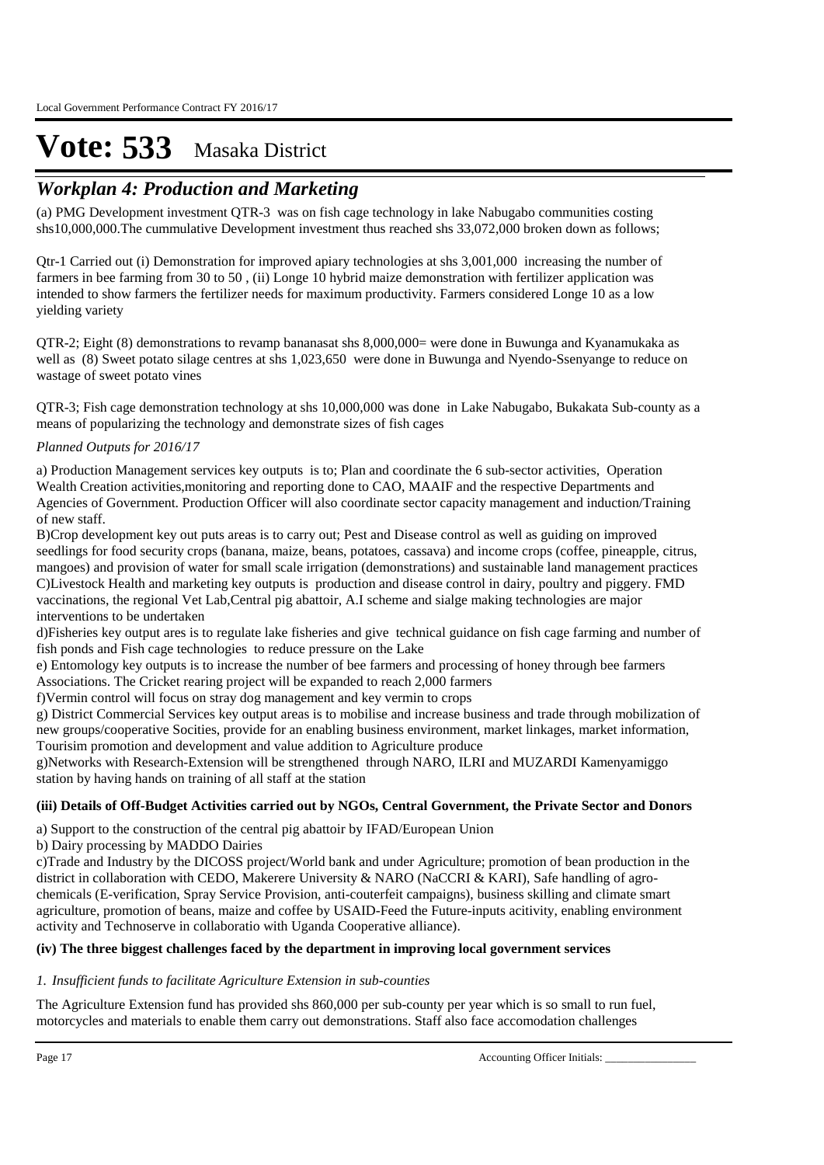### *Workplan 4: Production and Marketing*

(a) PMG Development investment QTR-3 was on fish cage technology in lake Nabugabo communities costing shs10,000,000.The cummulative Development investment thus reached shs 33,072,000 broken down as follows;

Qtr-1 Carried out (i) Demonstration for improved apiary technologies at shs 3,001,000 increasing the number of farmers in bee farming from 30 to 50 , (ii) Longe 10 hybrid maize demonstration with fertilizer application was intended to show farmers the fertilizer needs for maximum productivity. Farmers considered Longe 10 as a low yielding variety

QTR-2; Eight (8) demonstrations to revamp bananasat shs 8,000,000= were done in Buwunga and Kyanamukaka as well as (8) Sweet potato silage centres at shs 1,023,650 were done in Buwunga and Nyendo-Ssenyange to reduce on wastage of sweet potato vines

QTR-3; Fish cage demonstration technology at shs 10,000,000 was done in Lake Nabugabo, Bukakata Sub-county as a means of popularizing the technology and demonstrate sizes of fish cages

### *Planned Outputs for 2016/17*

a) Production Management services key outputs is to; Plan and coordinate the 6 sub-sector activities, Operation Wealth Creation activities,monitoring and reporting done to CAO, MAAIF and the respective Departments and Agencies of Government. Production Officer will also coordinate sector capacity management and induction/Training of new staff.

B)Crop development key out puts areas is to carry out; Pest and Disease control as well as guiding on improved seedlings for food security crops (banana, maize, beans, potatoes, cassava) and income crops (coffee, pineapple, citrus, mangoes) and provision of water for small scale irrigation (demonstrations) and sustainable land management practices C)Livestock Health and marketing key outputs is production and disease control in dairy, poultry and piggery. FMD vaccinations, the regional Vet Lab,Central pig abattoir, A.I scheme and sialge making technologies are major interventions to be undertaken

d)Fisheries key output ares is to regulate lake fisheries and give technical guidance on fish cage farming and number of fish ponds and Fish cage technologies to reduce pressure on the Lake

e) Entomology key outputs is to increase the number of bee farmers and processing of honey through bee farmers Associations. The Cricket rearing project will be expanded to reach 2,000 farmers

f)Vermin control will focus on stray dog management and key vermin to crops

g) District Commercial Services key output areas is to mobilise and increase business and trade through mobilization of new groups/cooperative Socities, provide for an enabling business environment, market linkages, market information, Tourisim promotion and development and value addition to Agriculture produce

g)Networks with Research-Extension will be strengthened through NARO, ILRI and MUZARDI Kamenyamiggo station by having hands on training of all staff at the station

### **(iii) Details of Off-Budget Activities carried out by NGOs, Central Government, the Private Sector and Donors**

a) Support to the construction of the central pig abattoir by IFAD/European Union

b) Dairy processing by MADDO Dairies

c)Trade and Industry by the DICOSS project/World bank and under Agriculture; promotion of bean production in the district in collaboration with CEDO, Makerere University & NARO (NaCCRI & KARI), Safe handling of agrochemicals (E-verification, Spray Service Provision, anti-couterfeit campaigns), business skilling and climate smart agriculture, promotion of beans, maize and coffee by USAID-Feed the Future-inputs acitivity, enabling environment activity and Technoserve in collaboratio with Uganda Cooperative alliance).

### **(iv) The three biggest challenges faced by the department in improving local government services**

### *Insufficient funds to facilitate Agriculture Extension in sub-counties 1.*

The Agriculture Extension fund has provided shs 860,000 per sub-county per year which is so small to run fuel, motorcycles and materials to enable them carry out demonstrations. Staff also face accomodation challenges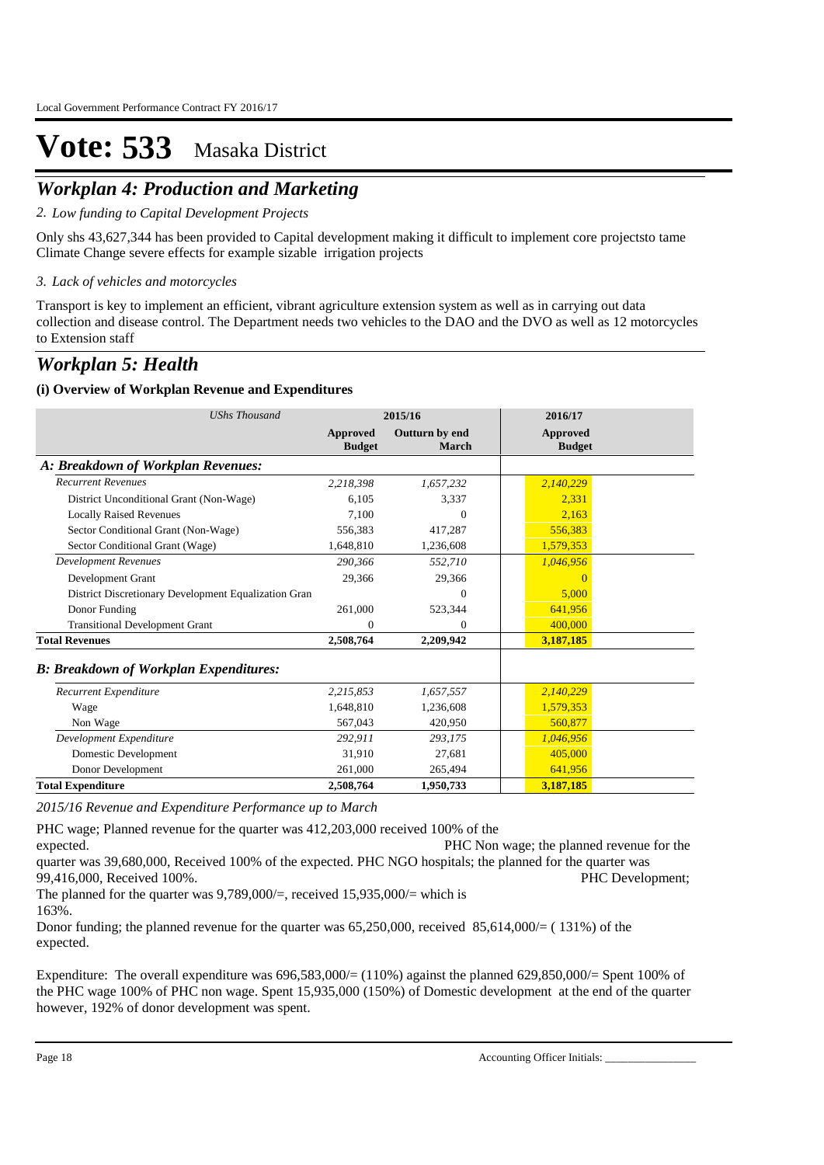## *Workplan 4: Production and Marketing*

*Low funding to Capital Development Projects 2.*

Only shs 43,627,344 has been provided to Capital development making it difficult to implement core projectsto tame Climate Change severe effects for example sizable irrigation projects

*Lack of vehicles and motorcycles 3.*

Transport is key to implement an efficient, vibrant agriculture extension system as well as in carrying out data collection and disease control. The Department needs two vehicles to the DAO and the DVO as well as 12 motorcycles to Extension staff

### *Workplan 5: Health*

### **(i) Overview of Workplan Revenue and Expenditures**

| <b>UShs Thousand</b>                                 | 2015/16                   |                         | 2016/17                   |  |
|------------------------------------------------------|---------------------------|-------------------------|---------------------------|--|
|                                                      | Approved<br><b>Budget</b> | Outturn by end<br>March | Approved<br><b>Budget</b> |  |
| A: Breakdown of Workplan Revenues:                   |                           |                         |                           |  |
| <b>Recurrent Revenues</b>                            | 2,218,398                 | 1,657,232               | 2,140,229                 |  |
| District Unconditional Grant (Non-Wage)              | 6.105                     | 3,337                   | 2,331                     |  |
| <b>Locally Raised Revenues</b>                       | 7,100                     | $\theta$                | 2,163                     |  |
| Sector Conditional Grant (Non-Wage)                  | 556,383                   | 417,287                 | 556,383                   |  |
| Sector Conditional Grant (Wage)                      | 1,648,810                 | 1,236,608               | 1,579,353                 |  |
| <b>Development Revenues</b>                          | 290,366                   | 552,710                 | 1,046,956                 |  |
| Development Grant                                    | 29,366                    | 29,366                  | $\Omega$                  |  |
| District Discretionary Development Equalization Gran |                           | $\theta$                | 5.000                     |  |
| Donor Funding                                        | 261,000                   | 523,344                 | 641,956                   |  |
| <b>Transitional Development Grant</b>                | $\mathbf{0}$              | $\theta$                | 400,000                   |  |
| <b>Total Revenues</b>                                | 2,508,764                 | 2,209,942               | 3,187,185                 |  |
| <b>B: Breakdown of Workplan Expenditures:</b>        |                           |                         |                           |  |
| Recurrent Expenditure                                | 2,215,853                 | 1,657,557               | 2,140,229                 |  |
| Wage                                                 | 1,648,810                 | 1,236,608               | 1,579,353                 |  |
| Non Wage                                             | 567,043                   | 420,950                 | 560,877                   |  |
| Development Expenditure                              | 292,911                   | 293,175                 | 1,046,956                 |  |
| Domestic Development                                 | 31,910                    | 27,681                  | 405,000                   |  |
| Donor Development                                    | 261,000                   | 265,494                 | 641,956                   |  |
| <b>Total Expenditure</b>                             | 2,508,764                 | 1,950,733               | 3,187,185                 |  |

*2015/16 Revenue and Expenditure Performance up to March*

PHC wage; Planned revenue for the quarter was 412,203,000 received 100% of the expected. **PHC Non wage; the planned revenue for the** quarter was 39,680,000, Received 100% of the expected. PHC NGO hospitals; the planned for the quarter was 99,416,000, Received 100%. The set of the set of the set of the set of the set of the personal pHC Development; The planned for the quarter was  $9.789,000/$ =, received  $15.935,000/$ = which is 163%.

Donor funding; the planned revenue for the quarter was 65,250,000, received 85,614,000/= (131%) of the expected.

Expenditure: The overall expenditure was 696,583,000/= (110%) against the planned 629,850,000/= Spent 100% of the PHC wage 100% of PHC non wage. Spent 15,935,000 (150%) of Domestic development at the end of the quarter however, 192% of donor development was spent.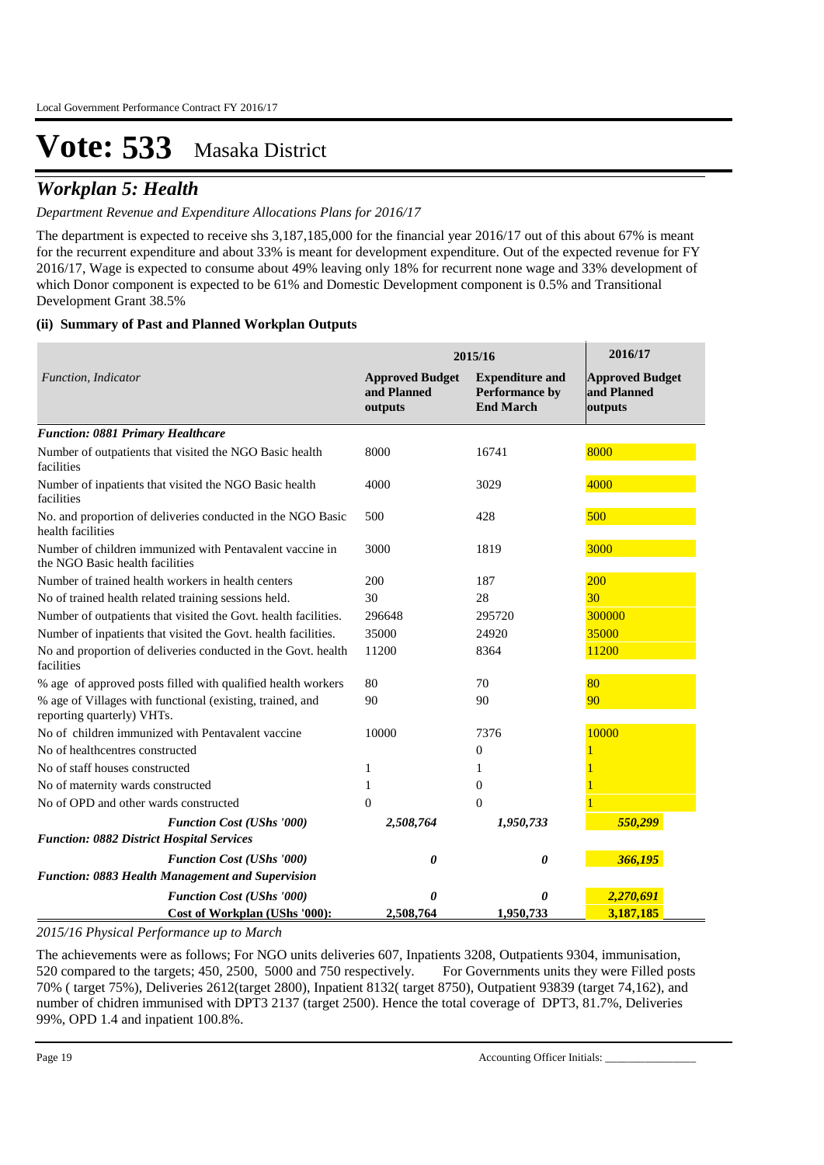### *Workplan 5: Health*

### *Department Revenue and Expenditure Allocations Plans for 2016/17*

The department is expected to receive shs 3,187,185,000 for the financial year 2016/17 out of this about 67% is meant for the recurrent expenditure and about 33% is meant for development expenditure. Out of the expected revenue for FY 2016/17, Wage is expected to consume about 49% leaving only 18% for recurrent none wage and 33% development of which Donor component is expected to be 61% and Domestic Development component is 0.5% and Transitional Development Grant 38.5%

### **(ii) Summary of Past and Planned Workplan Outputs**

|                                                                                             | 2015/16                                          | 2016/17                                                      |                                                  |
|---------------------------------------------------------------------------------------------|--------------------------------------------------|--------------------------------------------------------------|--------------------------------------------------|
| Function, Indicator                                                                         | <b>Approved Budget</b><br>and Planned<br>outputs | <b>Expenditure and</b><br>Performance by<br><b>End March</b> | <b>Approved Budget</b><br>and Planned<br>outputs |
| <b>Function: 0881 Primary Healthcare</b>                                                    |                                                  |                                                              |                                                  |
| Number of outpatients that visited the NGO Basic health<br>facilities                       | 8000                                             | 16741                                                        | 8000                                             |
| Number of inpatients that visited the NGO Basic health<br>facilities                        | 4000                                             | 3029                                                         | 4000                                             |
| No. and proportion of deliveries conducted in the NGO Basic<br>health facilities            | 500                                              | 428                                                          | 500                                              |
| Number of children immunized with Pentavalent vaccine in<br>the NGO Basic health facilities | 3000                                             | 1819                                                         | 3000                                             |
| Number of trained health workers in health centers                                          | 200                                              | 187                                                          | 200                                              |
| No of trained health related training sessions held.                                        | 30                                               | 28                                                           | 30 <sup>°</sup>                                  |
| Number of outpatients that visited the Govt. health facilities.                             | 296648                                           | 295720                                                       | 300000                                           |
| Number of inpatients that visited the Govt. health facilities.                              | 35000                                            | 24920                                                        | 35000                                            |
| No and proportion of deliveries conducted in the Govt. health<br>facilities                 | 11200                                            | 8364                                                         | 11200                                            |
| % age of approved posts filled with qualified health workers                                | 80                                               | 70                                                           | 80                                               |
| % age of Villages with functional (existing, trained, and<br>reporting quarterly) VHTs.     | 90                                               | 90                                                           | 90                                               |
| No of children immunized with Pentavalent vaccine                                           | 10000                                            | 7376                                                         | 10000                                            |
| No of healthcentres constructed                                                             |                                                  | $\theta$                                                     |                                                  |
| No of staff houses constructed                                                              | 1                                                | 1                                                            |                                                  |
| No of maternity wards constructed                                                           | 1                                                | $\theta$                                                     |                                                  |
| No of OPD and other wards constructed                                                       | $\theta$                                         | $\mathbf{0}$                                                 |                                                  |
| <b>Function Cost (UShs '000)</b><br><b>Function: 0882 District Hospital Services</b>        | 2,508,764                                        | 1,950,733                                                    | 550,299                                          |
| <b>Function Cost (UShs '000)</b><br>Function: 0883 Health Management and Supervision        | 0                                                | 0                                                            | 366,195                                          |
| <b>Function Cost (UShs '000)</b>                                                            | 0                                                | 0                                                            | 2,270,691                                        |
| Cost of Workplan (UShs '000):                                                               | 2,508,764                                        | 1,950,733                                                    | 3.187.185                                        |

*2015/16 Physical Performance up to March*

The achievements were as follows; For NGO units deliveries 607, Inpatients 3208, Outpatients 9304, immunisation, 520 compared to the targets; 450, 2500, 5000 and 750 respectively. For Governments units they were Filled posts 70% ( target 75%), Deliveries 2612(target 2800), Inpatient 8132( target 8750), Outpatient 93839 (target 74,162), and number of chidren immunised with DPT3 2137 (target 2500). Hence the total coverage of DPT3, 81.7%, Deliveries 99%, OPD 1.4 and inpatient 100.8%.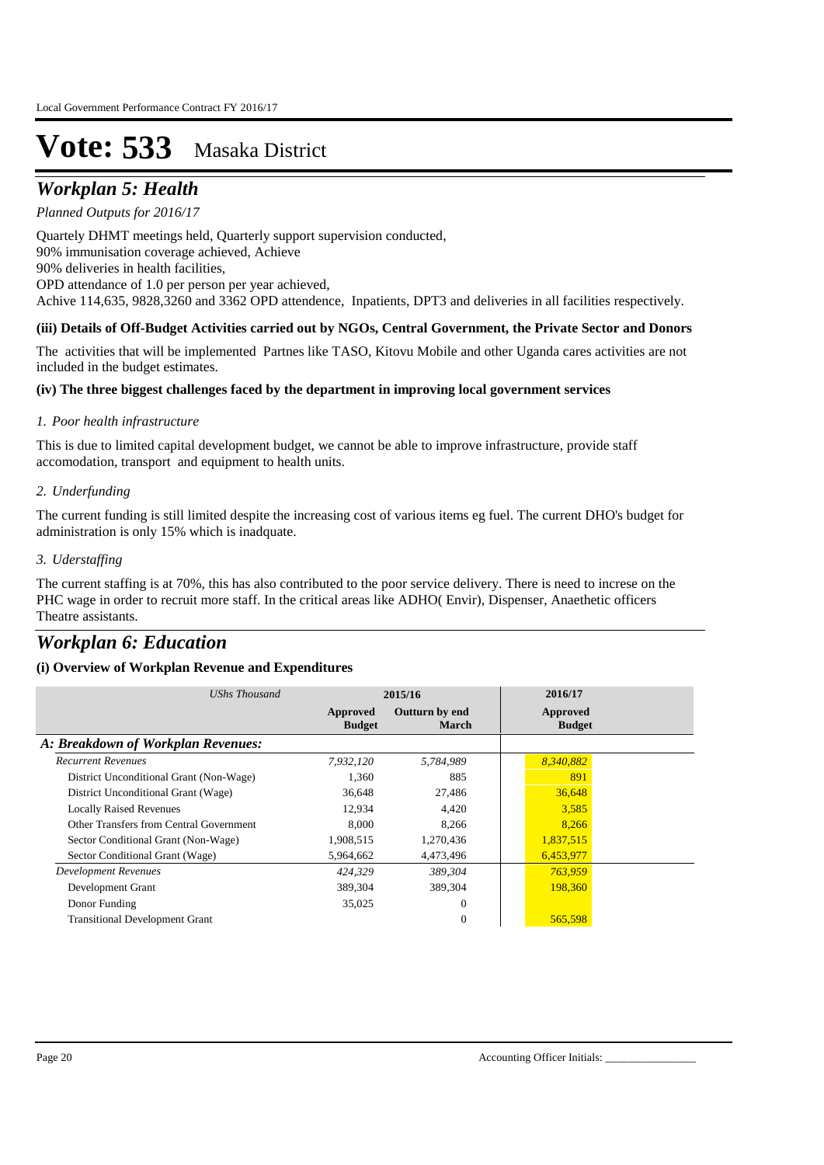## *Workplan 5: Health*

*Planned Outputs for 2016/17* 

Quartely DHMT meetings held, Quarterly support supervision conducted, 90% immunisation coverage achieved, Achieve 90% deliveries in health facilities, OPD attendance of 1.0 per person per year achieved, Achive 114,635, 9828,3260 and 3362 OPD attendence, Inpatients, DPT3 and deliveries in all facilities respectively.

## **(iii) Details of Off-Budget Activities carried out by NGOs, Central Government, the Private Sector and Donors**

The activities that will be implemented Partnes like TASO, Kitovu Mobile and other Uganda cares activities are not included in the budget estimates.

### **(iv) The three biggest challenges faced by the department in improving local government services**

### *Poor health infrastructure 1.*

This is due to limited capital development budget, we cannot be able to improve infrastructure, provide staff accomodation, transport and equipment to health units.

### *Underfunding 2.*

The current funding is still limited despite the increasing cost of various items eg fuel. The current DHO's budget for administration is only 15% which is inadquate.

### *Uderstaffing 3.*

The current staffing is at 70%, this has also contributed to the poor service delivery. There is need to increse on the PHC wage in order to recruit more staff. In the critical areas like ADHO( Envir), Dispenser, Anaethetic officers Theatre assistants.

### *Workplan 6: Education*

### **(i) Overview of Workplan Revenue and Expenditures**

| UShs Thousand                           | 2015/16                   |                         | 2016/17                   |  |
|-----------------------------------------|---------------------------|-------------------------|---------------------------|--|
|                                         | Approved<br><b>Budget</b> | Outturn by end<br>March | Approved<br><b>Budget</b> |  |
| A: Breakdown of Workplan Revenues:      |                           |                         |                           |  |
| <b>Recurrent Revenues</b>               | 7,932,120                 | 5,784,989               | 8,340,882                 |  |
| District Unconditional Grant (Non-Wage) | 1,360                     | 885                     | 891                       |  |
| District Unconditional Grant (Wage)     | 36,648                    | 27,486                  | 36,648                    |  |
| <b>Locally Raised Revenues</b>          | 12.934                    | 4,420                   | 3,585                     |  |
| Other Transfers from Central Government | 8,000                     | 8,266                   | 8,266                     |  |
| Sector Conditional Grant (Non-Wage)     | 1,908,515                 | 1,270,436               | 1,837,515                 |  |
| Sector Conditional Grant (Wage)         | 5,964,662                 | 4,473,496               | 6,453,977                 |  |
| <b>Development Revenues</b>             | 424,329                   | 389,304                 | 763,959                   |  |
| Development Grant                       | 389,304                   | 389,304                 | 198,360                   |  |
| Donor Funding                           | 35,025                    | $\theta$                |                           |  |
| <b>Transitional Development Grant</b>   |                           | $\theta$                | 565,598                   |  |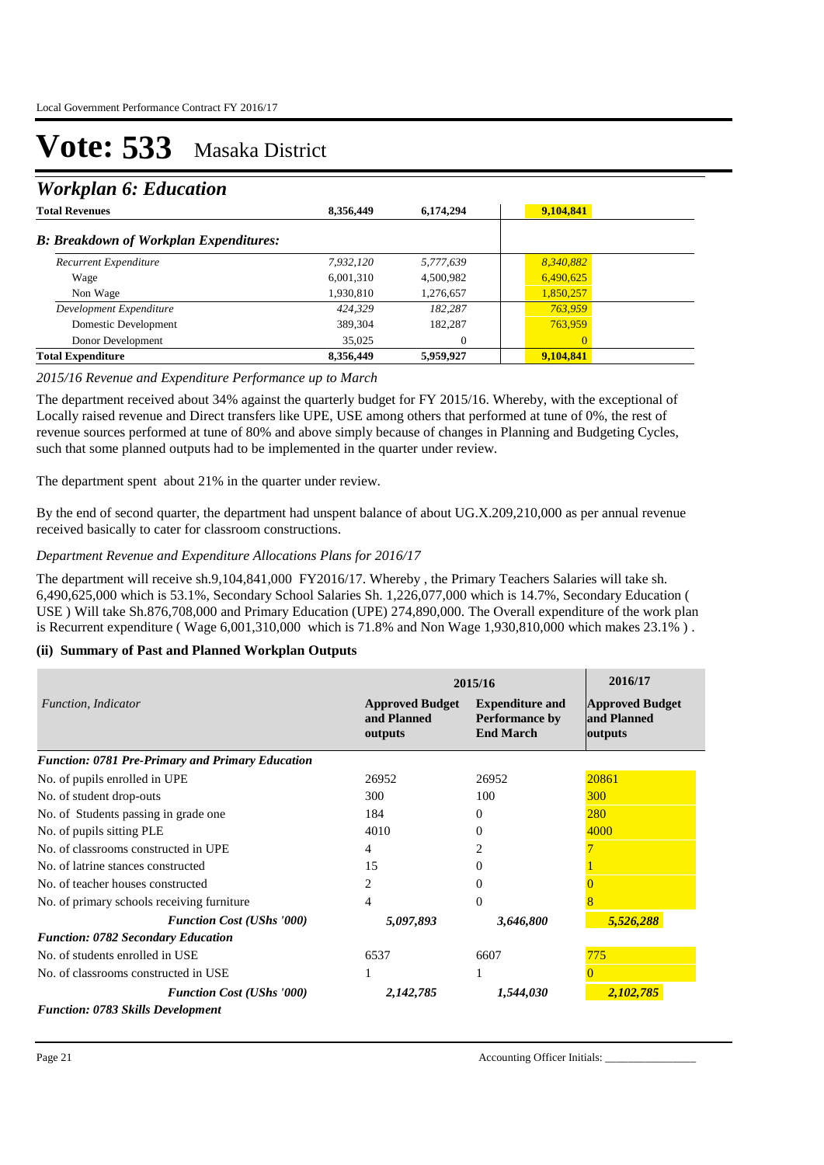### *Workplan 6: Education*

| <b>Total Revenues</b>                         | 8,356,449 | 6,174,294 | 9,104,841      |  |
|-----------------------------------------------|-----------|-----------|----------------|--|
| <b>B: Breakdown of Workplan Expenditures:</b> |           |           |                |  |
| Recurrent Expenditure                         | 7.932.120 | 5,777,639 | 8,340,882      |  |
| Wage                                          | 6,001,310 | 4,500,982 | 6,490,625      |  |
| Non Wage                                      | 1,930,810 | 1,276,657 | 1,850,257      |  |
| Development Expenditure                       | 424.329   | 182.287   | 763,959        |  |
| Domestic Development                          | 389,304   | 182,287   | 763,959        |  |
| Donor Development                             | 35,025    | 0         | $\overline{0}$ |  |
| <b>Total Expenditure</b>                      | 8,356,449 | 5,959,927 | 9,104,841      |  |

#### *2015/16 Revenue and Expenditure Performance up to March*

The department received about 34% against the quarterly budget for FY 2015/16. Whereby, with the exceptional of Locally raised revenue and Direct transfers like UPE, USE among others that performed at tune of 0%, the rest of revenue sources performed at tune of 80% and above simply because of changes in Planning and Budgeting Cycles, such that some planned outputs had to be implemented in the quarter under review.

The department spent about 21% in the quarter under review.

By the end of second quarter, the department had unspent balance of about UG.X.209,210,000 as per annual revenue received basically to cater for classroom constructions.

#### *Department Revenue and Expenditure Allocations Plans for 2016/17*

The department will receive sh.9,104,841,000 FY2016/17. Whereby , the Primary Teachers Salaries will take sh. 6,490,625,000 which is 53.1%, Secondary School Salaries Sh. 1,226,077,000 which is 14.7%, Secondary Education ( USE ) Will take Sh.876,708,000 and Primary Education (UPE) 274,890,000. The Overall expenditure of the work plan is Recurrent expenditure ( Wage 6,001,310,000 which is 71.8% and Non Wage 1,930,810,000 which makes 23.1% ) .

#### **(ii) Summary of Past and Planned Workplan Outputs**

|                                                  |                                                  | 2015/16                                                             |                                                  |  |
|--------------------------------------------------|--------------------------------------------------|---------------------------------------------------------------------|--------------------------------------------------|--|
| Function, Indicator                              | <b>Approved Budget</b><br>and Planned<br>outputs | <b>Expenditure and</b><br><b>Performance by</b><br><b>End March</b> | <b>Approved Budget</b><br>and Planned<br>outputs |  |
| Function: 0781 Pre-Primary and Primary Education |                                                  |                                                                     |                                                  |  |
| No. of pupils enrolled in UPE                    | 26952                                            | 26952                                                               | 20861                                            |  |
| No. of student drop-outs                         | 300                                              | 100                                                                 | 300                                              |  |
| No. of Students passing in grade one.            | 184                                              | 0                                                                   | <b>280</b>                                       |  |
| No. of pupils sitting PLE                        | 4010                                             | 0                                                                   | 4000                                             |  |
| No. of classrooms constructed in UPE             | 4                                                |                                                                     |                                                  |  |
| No. of latrine stances constructed               | 15                                               | 0                                                                   |                                                  |  |
| No. of teacher houses constructed                | 2                                                | 0                                                                   |                                                  |  |
| No. of primary schools receiving furniture       | 4                                                | $\Omega$                                                            |                                                  |  |
| <b>Function Cost (UShs '000)</b>                 | 5,097,893                                        | 3,646,800                                                           | 5,526,288                                        |  |
| <b>Function: 0782 Secondary Education</b>        |                                                  |                                                                     |                                                  |  |
| No. of students enrolled in USE                  | 6537                                             | 6607                                                                | 775                                              |  |
| No. of classrooms constructed in USE             | 1                                                | 1                                                                   |                                                  |  |
| <b>Function Cost (UShs '000)</b>                 | 2,142,785                                        | 1,544,030                                                           | 2,102,785                                        |  |
| <b>Function: 0783 Skills Development</b>         |                                                  |                                                                     |                                                  |  |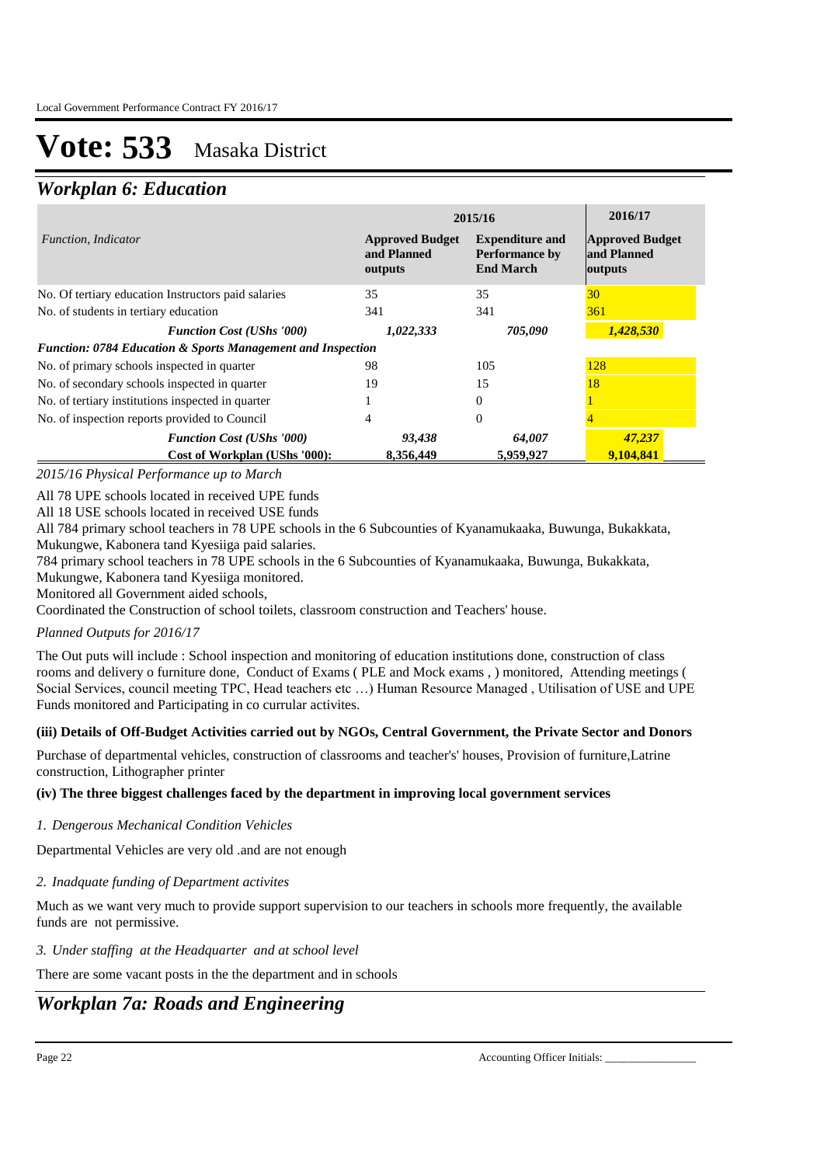### *Workplan 6: Education*

|                                                                        | 2015/16                                          | 2016/17                                                             |                                                  |
|------------------------------------------------------------------------|--------------------------------------------------|---------------------------------------------------------------------|--------------------------------------------------|
| Function, Indicator                                                    | <b>Approved Budget</b><br>and Planned<br>outputs | <b>Expenditure and</b><br><b>Performance by</b><br><b>End March</b> | <b>Approved Budget</b><br>and Planned<br>outputs |
| No. Of tertiary education Instructors paid salaries                    | 35                                               | 35                                                                  | 30                                               |
| No. of students in tertiary education                                  | 341                                              | 341                                                                 | 361                                              |
| <b>Function Cost (UShs '000)</b>                                       | 1,022,333                                        | 705,090                                                             | 1,428,530                                        |
| <b>Function: 0784 Education &amp; Sports Management and Inspection</b> |                                                  |                                                                     |                                                  |
| No. of primary schools inspected in quarter                            | 98                                               | 105                                                                 | 128                                              |
| No. of secondary schools inspected in quarter                          | 19                                               | 15                                                                  | 18                                               |
| No. of tertiary institutions inspected in quarter                      |                                                  | $\Omega$                                                            |                                                  |
| No. of inspection reports provided to Council                          | 4                                                | $\Omega$                                                            |                                                  |
| <b>Function Cost (UShs '000)</b>                                       | 93,438                                           | 64,007                                                              | 47,237                                           |
| Cost of Workplan (UShs '000):                                          | 8.356.449                                        | 5,959,927                                                           | 9,104,841                                        |

*2015/16 Physical Performance up to March*

All 78 UPE schools located in received UPE funds

All 18 USE schools located in received USE funds

All 784 primary school teachers in 78 UPE schools in the 6 Subcounties of Kyanamukaaka, Buwunga, Bukakkata, Mukungwe, Kabonera tand Kyesiiga paid salaries.

784 primary school teachers in 78 UPE schools in the 6 Subcounties of Kyanamukaaka, Buwunga, Bukakkata,

Mukungwe, Kabonera tand Kyesiiga monitored.

Monitored all Government aided schools,

Coordinated the Construction of school toilets, classroom construction and Teachers' house.

### *Planned Outputs for 2016/17*

The Out puts will include : School inspection and monitoring of education institutions done, construction of class rooms and delivery o furniture done, Conduct of Exams ( PLE and Mock exams , ) monitored, Attending meetings ( Social Services, council meeting TPC, Head teachers etc …) Human Resource Managed , Utilisation of USE and UPE Funds monitored and Participating in co currular activites.

### **(iii) Details of Off-Budget Activities carried out by NGOs, Central Government, the Private Sector and Donors**

Purchase of departmental vehicles, construction of classrooms and teacher's' houses, Provision of furniture,Latrine construction, Lithographer printer

### **(iv) The three biggest challenges faced by the department in improving local government services**

*Dengerous Mechanical Condition Vehicles 1.*

Departmental Vehicles are very old .and are not enough

*Inadquate funding of Department activites 2.*

Much as we want very much to provide support supervision to our teachers in schools more frequently, the available funds are not permissive.

### *Under staffing at the Headquarter and at school level 3.*

There are some vacant posts in the the department and in schools

### *Workplan 7a: Roads and Engineering*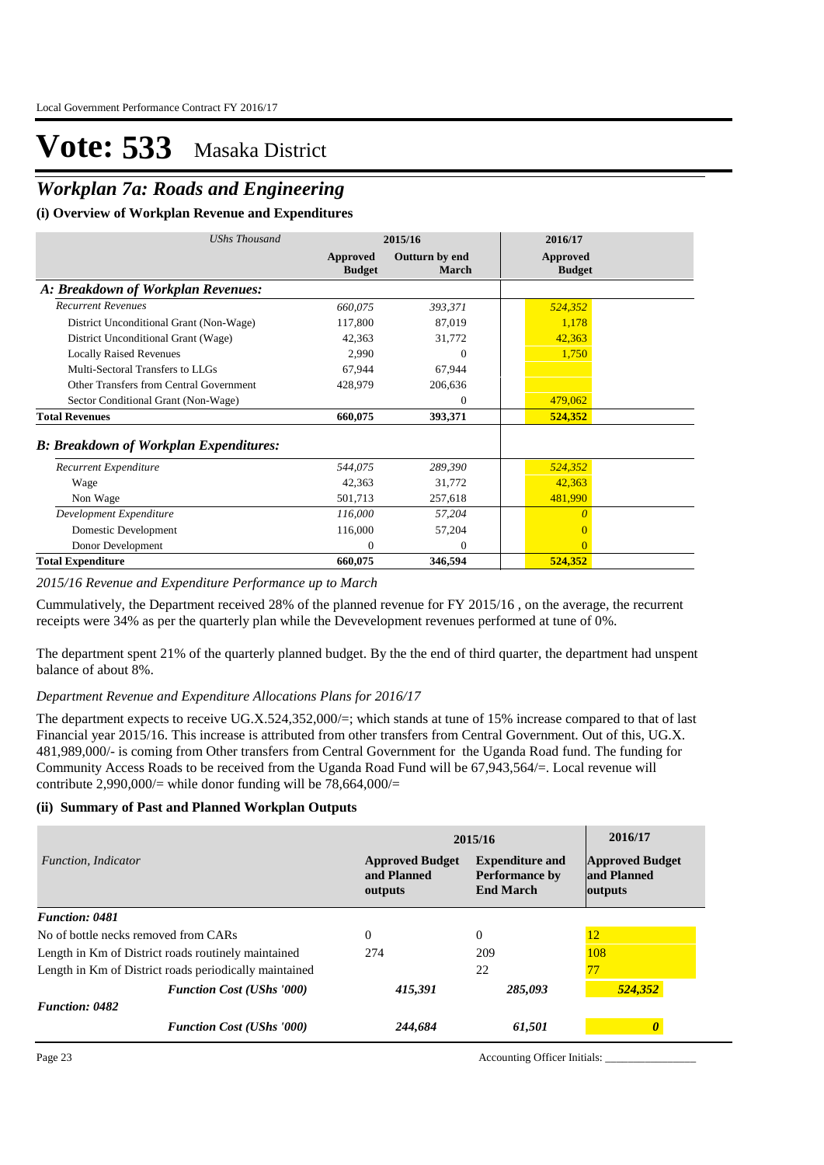## *Workplan 7a: Roads and Engineering*

#### **(i) Overview of Workplan Revenue and Expenditures**

| UShs Thousand                                 | 2015/16                   |                         | 2016/17                   |
|-----------------------------------------------|---------------------------|-------------------------|---------------------------|
|                                               | Approved<br><b>Budget</b> | Outturn by end<br>March | Approved<br><b>Budget</b> |
| A: Breakdown of Workplan Revenues:            |                           |                         |                           |
| <b>Recurrent Revenues</b>                     | 660,075                   | 393,371                 | 524,352                   |
| District Unconditional Grant (Non-Wage)       | 117,800                   | 87,019                  | 1,178                     |
| District Unconditional Grant (Wage)           | 42,363                    | 31,772                  | 42,363                    |
| <b>Locally Raised Revenues</b>                | 2,990                     | $\Omega$                | 1,750                     |
| Multi-Sectoral Transfers to LLGs              | 67,944                    | 67,944                  |                           |
| Other Transfers from Central Government       | 428,979                   | 206,636                 |                           |
| Sector Conditional Grant (Non-Wage)           |                           | $\Omega$                | 479,062                   |
| <b>Total Revenues</b>                         | 660,075                   | 393,371                 | 524,352                   |
| <b>B: Breakdown of Workplan Expenditures:</b> |                           |                         |                           |
| Recurrent Expenditure                         | 544,075                   | 289,390                 | 524,352                   |
| Wage                                          | 42,363                    | 31,772                  | 42,363                    |
| Non Wage                                      | 501,713                   | 257,618                 | 481,990                   |
| Development Expenditure                       | 116,000                   | 57,204                  | $\theta$                  |
| Domestic Development                          | 116,000                   | 57,204                  | 0                         |
| Donor Development                             | $\Omega$                  | $\Omega$                | $\Omega$                  |
| <b>Total Expenditure</b>                      | 660,075                   | 346,594                 | 524,352                   |

#### *2015/16 Revenue and Expenditure Performance up to March*

Cummulatively, the Department received 28% of the planned revenue for FY 2015/16 , on the average, the recurrent receipts were 34% as per the quarterly plan while the Devevelopment revenues performed at tune of 0%.

The department spent 21% of the quarterly planned budget. By the the end of third quarter, the department had unspent balance of about 8%.

#### *Department Revenue and Expenditure Allocations Plans for 2016/17*

The department expects to receive UG.X.524,352,000/=; which stands at tune of 15% increase compared to that of last Financial year 2015/16. This increase is attributed from other transfers from Central Government. Out of this, UG.X. 481,989,000/- is coming from Other transfers from Central Government for the Uganda Road fund. The funding for Community Access Roads to be received from the Uganda Road Fund will be 67,943,564/=. Local revenue will contribute 2,990,000/= while donor funding will be  $78,664,000/$ =

#### **(ii) Summary of Past and Planned Workplan Outputs**

|                                                        | 2015/16                                          | 2016/17                                                             |                                                  |
|--------------------------------------------------------|--------------------------------------------------|---------------------------------------------------------------------|--------------------------------------------------|
| <i>Function, Indicator</i>                             | <b>Approved Budget</b><br>and Planned<br>outputs | <b>Expenditure and</b><br><b>Performance by</b><br><b>End March</b> | <b>Approved Budget</b><br>and Planned<br>outputs |
| <b>Function: 0481</b>                                  |                                                  |                                                                     |                                                  |
| No of bottle necks removed from CARs                   | $\Omega$                                         | $\Omega$                                                            | 12                                               |
| Length in Km of District roads routinely maintained    | 274                                              | 209                                                                 | 108                                              |
| Length in Km of District roads periodically maintained |                                                  | 22                                                                  | 77                                               |
| <b>Function Cost (UShs '000)</b>                       | 415,391                                          | 285,093                                                             | 524,352                                          |
| <b>Function: 0482</b>                                  |                                                  |                                                                     |                                                  |
| <b>Function Cost (UShs '000)</b>                       | 244,684                                          | 61,501                                                              |                                                  |

Page 23 Accounting Officer Initials: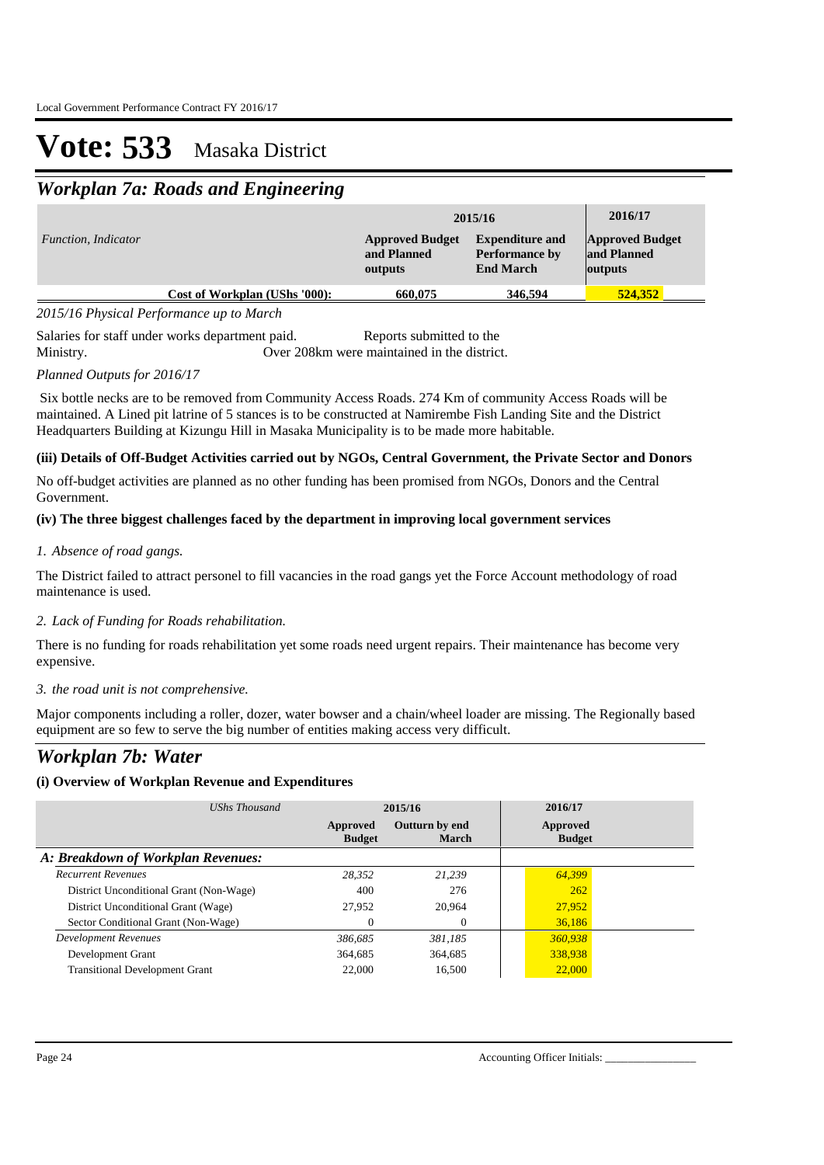## *Workplan 7a: Roads and Engineering*

|                            |                               |                                                  | 2015/16                                                             | 2016/17                                          |
|----------------------------|-------------------------------|--------------------------------------------------|---------------------------------------------------------------------|--------------------------------------------------|
| <i>Function, Indicator</i> |                               | <b>Approved Budget</b><br>and Planned<br>outputs | <b>Expenditure and</b><br><b>Performance by</b><br><b>End March</b> | <b>Approved Budget</b><br>and Planned<br>outputs |
|                            | Cost of Workplan (UShs '000): | 660,075                                          | 346,594                                                             | 524,352                                          |

*2015/16 Physical Performance up to March*

Salaries for staff under works department paid. Reports submitted to the Ministry. Over 208km were maintained in the district.

### *Planned Outputs for 2016/17*

 Six bottle necks are to be removed from Community Access Roads. 274 Km of community Access Roads will be maintained. A Lined pit latrine of 5 stances is to be constructed at Namirembe Fish Landing Site and the District Headquarters Building at Kizungu Hill in Masaka Municipality is to be made more habitable.

### **(iii) Details of Off-Budget Activities carried out by NGOs, Central Government, the Private Sector and Donors**

No off-budget activities are planned as no other funding has been promised from NGOs, Donors and the Central Government.

### **(iv) The three biggest challenges faced by the department in improving local government services**

### *Absence of road gangs. 1.*

The District failed to attract personel to fill vacancies in the road gangs yet the Force Account methodology of road maintenance is used.

### *Lack of Funding for Roads rehabilitation. 2.*

There is no funding for roads rehabilitation yet some roads need urgent repairs. Their maintenance has become very expensive.

### *the road unit is not comprehensive. 3.*

Major components including a roller, dozer, water bowser and a chain/wheel loader are missing. The Regionally based equipment are so few to serve the big number of entities making access very difficult.

### *Workplan 7b: Water*

### **(i) Overview of Workplan Revenue and Expenditures**

| UShs Thousand                           |                           | 2015/16                 | 2016/17                   |  |
|-----------------------------------------|---------------------------|-------------------------|---------------------------|--|
|                                         | Approved<br><b>Budget</b> | Outturn by end<br>March | Approved<br><b>Budget</b> |  |
| A: Breakdown of Workplan Revenues:      |                           |                         |                           |  |
| <b>Recurrent Revenues</b>               | 28.352                    | 21.239                  | 64,399                    |  |
| District Unconditional Grant (Non-Wage) | 400                       | 276                     | 262                       |  |
| District Unconditional Grant (Wage)     | 27,952                    | 20,964                  | 27,952                    |  |
| Sector Conditional Grant (Non-Wage)     | $\Omega$                  | $\overline{0}$          | 36,186                    |  |
| <b>Development Revenues</b>             | 386.685                   | 381.185                 | 360,938                   |  |
| Development Grant                       | 364.685                   | 364,685                 | 338,938                   |  |
| <b>Transitional Development Grant</b>   | 22,000                    | 16.500                  | 22,000                    |  |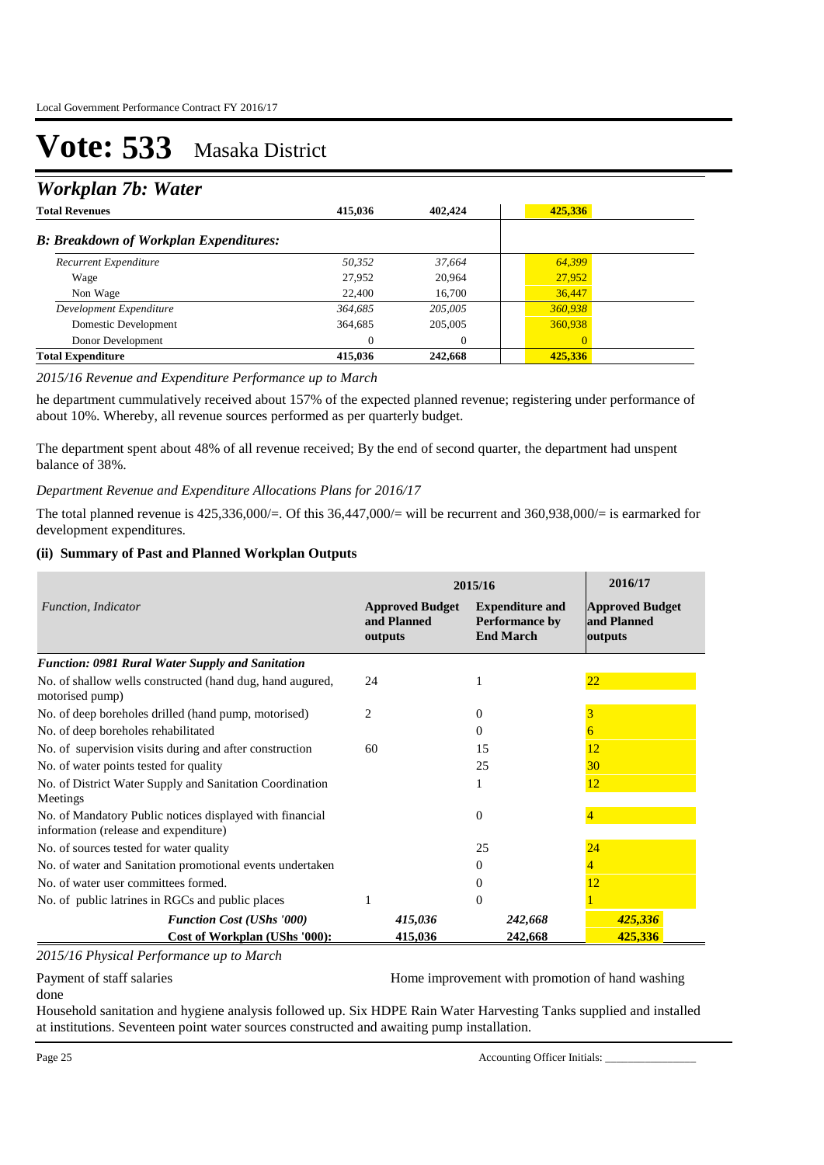## *Workplan 7b: Water*

| <b>Total Revenues</b>                         | 415.036  | 402,424 | 425,336        |  |
|-----------------------------------------------|----------|---------|----------------|--|
| <b>B: Breakdown of Workplan Expenditures:</b> |          |         |                |  |
| Recurrent Expenditure                         | 50,352   | 37,664  | 64,399         |  |
| Wage                                          | 27,952   | 20,964  | 27,952         |  |
| Non Wage                                      | 22,400   | 16,700  | 36,447         |  |
| Development Expenditure                       | 364,685  | 205,005 | 360,938        |  |
| Domestic Development                          | 364,685  | 205,005 | 360,938        |  |
| Donor Development                             | $\theta$ | 0       | $\overline{0}$ |  |
| <b>Total Expenditure</b>                      | 415,036  | 242,668 | 425,336        |  |

#### *2015/16 Revenue and Expenditure Performance up to March*

he department cummulatively received about 157% of the expected planned revenue; registering under performance of about 10%. Whereby, all revenue sources performed as per quarterly budget.

The department spent about 48% of all revenue received; By the end of second quarter, the department had unspent balance of 38%.

*Department Revenue and Expenditure Allocations Plans for 2016/17*

The total planned revenue is 425,336,000/=. Of this 36,447,000/= will be recurrent and 360,938,000/= is earmarked for development expenditures.

#### **(ii) Summary of Past and Planned Workplan Outputs**

|                                                                                                   | 2015/16                                          | 2016/17                                                      |                                                  |
|---------------------------------------------------------------------------------------------------|--------------------------------------------------|--------------------------------------------------------------|--------------------------------------------------|
| Function, Indicator                                                                               | <b>Approved Budget</b><br>and Planned<br>outputs | <b>Expenditure and</b><br>Performance by<br><b>End March</b> | <b>Approved Budget</b><br>and Planned<br>outputs |
| <b>Function: 0981 Rural Water Supply and Sanitation</b>                                           |                                                  |                                                              |                                                  |
| No. of shallow wells constructed (hand dug, hand augured,<br>motorised pump)                      | 24                                               |                                                              | 22                                               |
| No. of deep boreholes drilled (hand pump, motorised)                                              | $\overline{c}$                                   | 0                                                            |                                                  |
| No. of deep boreholes rehabilitated                                                               |                                                  | 0                                                            |                                                  |
| No. of supervision visits during and after construction                                           | 60                                               | 15                                                           | 12                                               |
| No. of water points tested for quality                                                            |                                                  | 25                                                           | 30                                               |
| No. of District Water Supply and Sanitation Coordination<br>Meetings                              |                                                  | 1                                                            | 12                                               |
| No. of Mandatory Public notices displayed with financial<br>information (release and expenditure) |                                                  | $\Omega$                                                     |                                                  |
| No. of sources tested for water quality                                                           |                                                  | 25                                                           | 24                                               |
| No. of water and Sanitation promotional events undertaken                                         |                                                  | 0                                                            |                                                  |
| No. of water user committees formed.                                                              |                                                  | $\theta$                                                     | 12                                               |
| No. of public latrines in RGCs and public places                                                  |                                                  | $\Omega$                                                     |                                                  |
| <b>Function Cost (UShs '000)</b>                                                                  | 415,036                                          | 242,668                                                      | 425,336                                          |
| Cost of Workplan (UShs '000):                                                                     | 415,036                                          | 242,668                                                      | 425,336                                          |

*2015/16 Physical Performance up to March*

Payment of staff salaries **Home improvement with promotion of hand washing** 

done

Household sanitation and hygiene analysis followed up. Six HDPE Rain Water Harvesting Tanks supplied and installed at institutions. Seventeen point water sources constructed and awaiting pump installation.

Page 25 Accounting Officer Initials: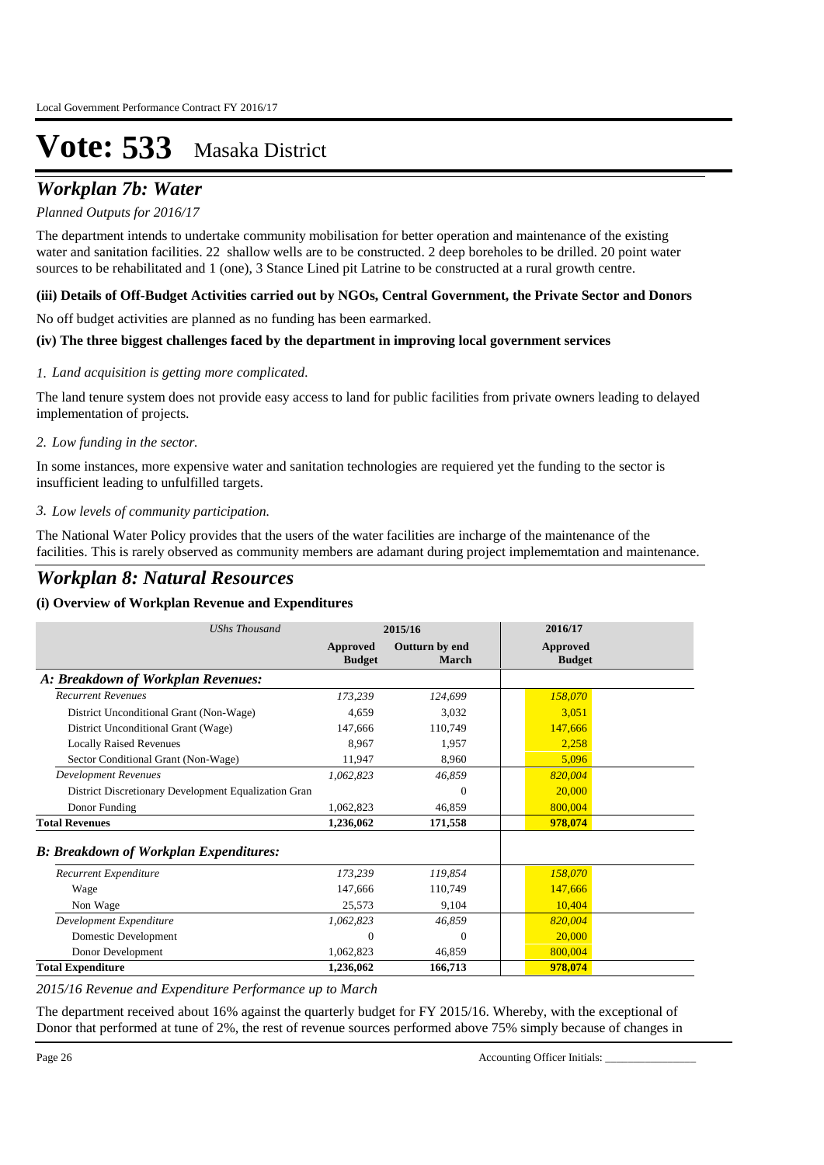## *Workplan 7b: Water*

### *Planned Outputs for 2016/17*

The department intends to undertake community mobilisation for better operation and maintenance of the existing water and sanitation facilities. 22 shallow wells are to be constructed. 2 deep boreholes to be drilled. 20 point water sources to be rehabilitated and 1 (one), 3 Stance Lined pit Latrine to be constructed at a rural growth centre.

### **(iii) Details of Off-Budget Activities carried out by NGOs, Central Government, the Private Sector and Donors**

No off budget activities are planned as no funding has been earmarked.

### **(iv) The three biggest challenges faced by the department in improving local government services**

### *Land acquisition is getting more complicated. 1.*

The land tenure system does not provide easy access to land for public facilities from private owners leading to delayed implementation of projects.

### *Low funding in the sector. 2.*

In some instances, more expensive water and sanitation technologies are requiered yet the funding to the sector is insufficient leading to unfulfilled targets.

### *Low levels of community participation. 3.*

The National Water Policy provides that the users of the water facilities are incharge of the maintenance of the facilities. This is rarely observed as community members are adamant during project implememtation and maintenance.

## *Workplan 8: Natural Resources*

### **(i) Overview of Workplan Revenue and Expenditures**

| <b>UShs Thousand</b>                                 |                           | 2015/16                 | 2016/17                          |
|------------------------------------------------------|---------------------------|-------------------------|----------------------------------|
|                                                      | Approved<br><b>Budget</b> | Outturn by end<br>March | <b>Approved</b><br><b>Budget</b> |
| A: Breakdown of Workplan Revenues:                   |                           |                         |                                  |
| <b>Recurrent Revenues</b>                            | 173,239                   | 124,699                 | 158,070                          |
| District Unconditional Grant (Non-Wage)              | 4.659                     | 3,032                   | 3,051                            |
| District Unconditional Grant (Wage)                  | 147,666                   | 110,749                 | 147,666                          |
| <b>Locally Raised Revenues</b>                       | 8,967                     | 1.957                   | 2,258                            |
| Sector Conditional Grant (Non-Wage)                  | 11,947                    | 8,960                   | 5,096                            |
| <b>Development Revenues</b>                          | 1,062,823                 | 46,859                  | 820,004                          |
| District Discretionary Development Equalization Gran |                           | 0                       | 20,000                           |
| Donor Funding                                        | 1,062,823                 | 46,859                  | 800,004                          |
| <b>Total Revenues</b>                                | 1,236,062                 | 171,558                 | 978,074                          |
| <b>B: Breakdown of Workplan Expenditures:</b>        |                           |                         |                                  |
| Recurrent Expenditure                                | 173,239                   | 119,854                 | 158,070                          |
| Wage                                                 | 147,666                   | 110,749                 | 147,666                          |
| Non Wage                                             | 25,573                    | 9,104                   | 10,404                           |
| Development Expenditure                              | 1,062,823                 | 46,859                  | 820,004                          |
| Domestic Development                                 | $\Omega$                  | 0                       | 20,000                           |
| Donor Development                                    | 1,062,823                 | 46,859                  | 800,004                          |
| <b>Total Expenditure</b>                             | 1,236,062                 | 166,713                 | 978,074                          |

*2015/16 Revenue and Expenditure Performance up to March*

The department received about 16% against the quarterly budget for FY 2015/16. Whereby, with the exceptional of Donor that performed at tune of 2%, the rest of revenue sources performed above 75% simply because of changes in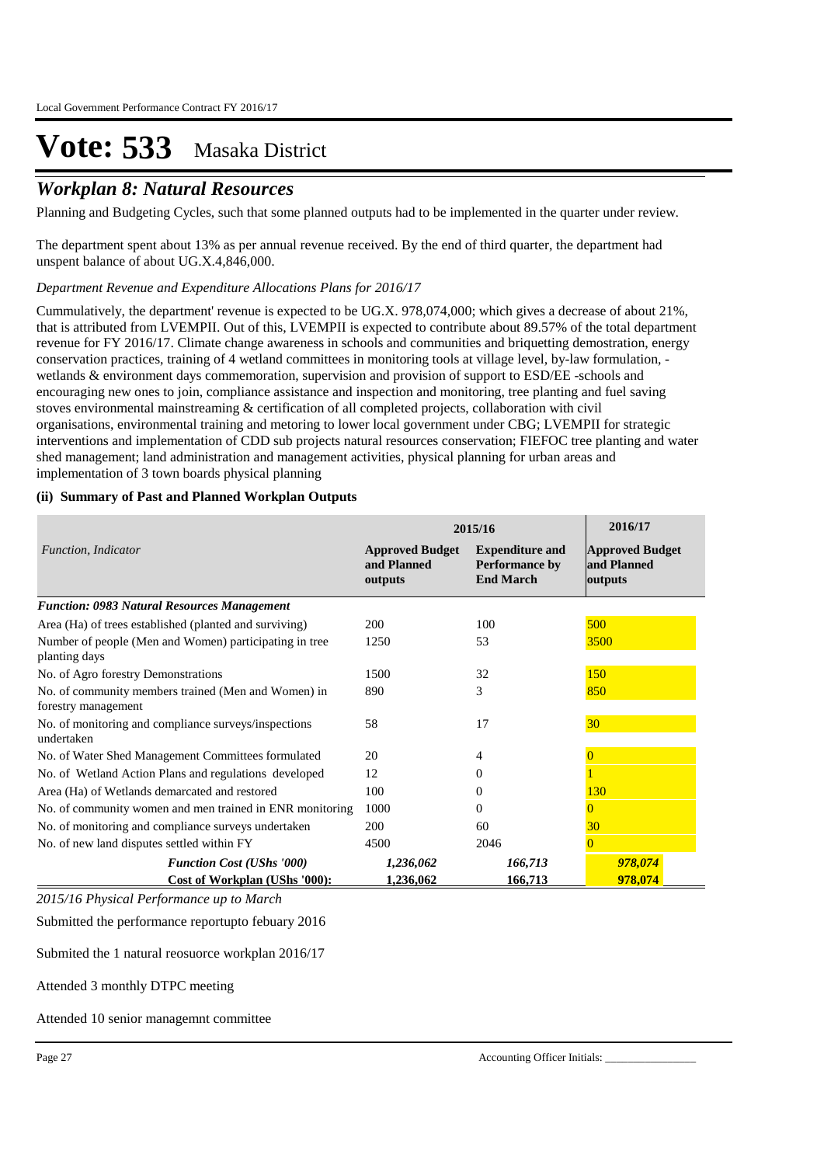### *Workplan 8: Natural Resources*

Planning and Budgeting Cycles, such that some planned outputs had to be implemented in the quarter under review.

The department spent about 13% as per annual revenue received. By the end of third quarter, the department had unspent balance of about UG.X.4,846,000.

*Department Revenue and Expenditure Allocations Plans for 2016/17*

Cummulatively, the department' revenue is expected to be UG.X. 978,074,000; which gives a decrease of about 21%, that is attributed from LVEMPII. Out of this, LVEMPII is expected to contribute about 89.57% of the total department revenue for FY 2016/17. Climate change awareness in schools and communities and briquetting demostration, energy conservation practices, training of 4 wetland committees in monitoring tools at village level, by-law formulation, wetlands & environment days commemoration, supervision and provision of support to ESD/EE -schools and encouraging new ones to join, compliance assistance and inspection and monitoring, tree planting and fuel saving stoves environmental mainstreaming & certification of all completed projects, collaboration with civil organisations, environmental training and metoring to lower local government under CBG; LVEMPII for strategic interventions and implementation of CDD sub projects natural resources conservation; FIEFOC tree planting and water shed management; land administration and management activities, physical planning for urban areas and implementation of 3 town boards physical planning

### **(ii) Summary of Past and Planned Workplan Outputs**

|                                                                            | 2015/16                                          | 2016/17                                                             |                                                  |
|----------------------------------------------------------------------------|--------------------------------------------------|---------------------------------------------------------------------|--------------------------------------------------|
| Function, Indicator                                                        | <b>Approved Budget</b><br>and Planned<br>outputs | <b>Expenditure and</b><br><b>Performance by</b><br><b>End March</b> | <b>Approved Budget</b><br>and Planned<br>outputs |
| <b>Function: 0983 Natural Resources Management</b>                         |                                                  |                                                                     |                                                  |
| Area (Ha) of trees established (planted and surviving)                     | <b>200</b>                                       | 100                                                                 | 500                                              |
| Number of people (Men and Women) participating in tree<br>planting days    | 1250                                             | 53                                                                  | 3500                                             |
| No. of Agro forestry Demonstrations                                        | 1500                                             | 32                                                                  | 150                                              |
| No. of community members trained (Men and Women) in<br>forestry management | 890                                              | 3                                                                   | 850                                              |
| No. of monitoring and compliance surveys/inspections<br>undertaken         | 58                                               | 17                                                                  | 30 <sup>°</sup>                                  |
| No. of Water Shed Management Committees formulated                         | 20                                               | 4                                                                   |                                                  |
| No. of Wetland Action Plans and regulations developed                      | 12                                               | $\theta$                                                            |                                                  |
| Area (Ha) of Wetlands demarcated and restored                              | 100                                              | 0                                                                   | 130                                              |
| No. of community women and men trained in ENR monitoring                   | 1000                                             | $\Omega$                                                            |                                                  |
| No. of monitoring and compliance surveys undertaken                        | <b>200</b>                                       | 60                                                                  | 30                                               |
| No. of new land disputes settled within FY                                 | 4500                                             | 2046                                                                | 0                                                |
| <b>Function Cost (UShs '000)</b><br>Cost of Workplan (UShs '000):          | 1,236,062<br>1,236,062                           | 166,713<br>166,713                                                  | 978,074<br>978,074                               |

*2015/16 Physical Performance up to March*

Submitted the performance reportupto febuary 2016

Submited the 1 natural reosuorce workplan 2016/17

Attended 3 monthly DTPC meeting

Attended 10 senior managemnt committee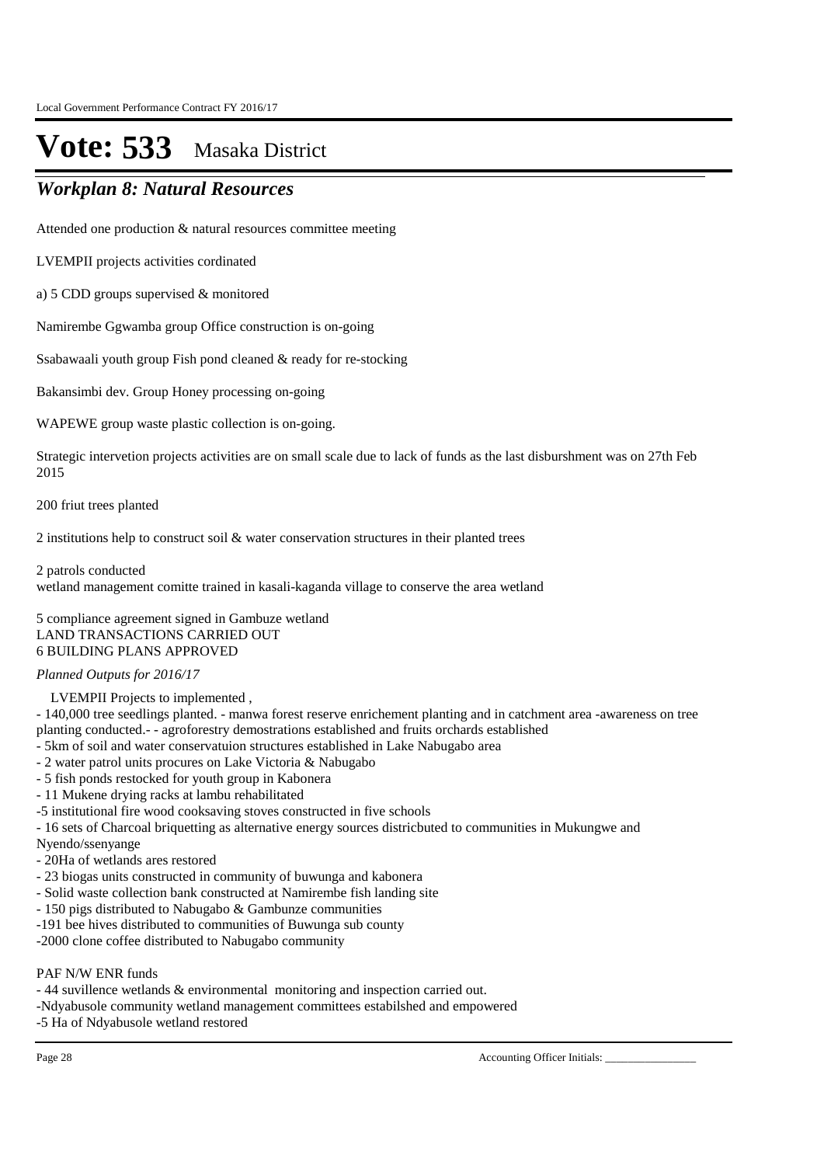### *Workplan 8: Natural Resources*

Attended one production & natural resources committee meeting

LVEMPII projects activities cordinated

a) 5 CDD groups supervised & monitored

Namirembe Ggwamba group Office construction is on-going

Ssabawaali youth group Fish pond cleaned & ready for re-stocking

Bakansimbi dev. Group Honey processing on-going

WAPEWE group waste plastic collection is on-going.

Strategic intervetion projects activities are on small scale due to lack of funds as the last disburshment was on 27th Feb 2015

200 friut trees planted

2 institutions help to construct soil & water conservation structures in their planted trees

2 patrols conducted

wetland management comitte trained in kasali-kaganda village to conserve the area wetland

5 compliance agreement signed in Gambuze wetland LAND TRANSACTIONS CARRIED OUT 6 BUILDING PLANS APPROVED

### *Planned Outputs for 2016/17*

LVEMPII Projects to implemented ,

- 140,000 tree seedlings planted. - manwa forest reserve enrichement planting and in catchment area -awareness on tree planting conducted.- - agroforestry demostrations established and fruits orchards established

- 5km of soil and water conservatuion structures established in Lake Nabugabo area
- 2 water patrol units procures on Lake Victoria & Nabugabo
- 5 fish ponds restocked for youth group in Kabonera
- 11 Mukene drying racks at lambu rehabilitated
- -5 institutional fire wood cooksaving stoves constructed in five schools

- 16 sets of Charcoal briquetting as alternative energy sources districbuted to communities in Mukungwe and

- Nyendo/ssenyange
- 20Ha of wetlands ares restored
- 23 biogas units constructed in community of buwunga and kabonera
- Solid waste collection bank constructed at Namirembe fish landing site
- 150 pigs distributed to Nabugabo & Gambunze communities
- -191 bee hives distributed to communities of Buwunga sub county
- -2000 clone coffee distributed to Nabugabo community

### PAF N/W ENR funds

- 44 suvillence wetlands & environmental monitoring and inspection carried out.

- -Ndyabusole community wetland management committees estabilshed and empowered
- -5 Ha of Ndyabusole wetland restored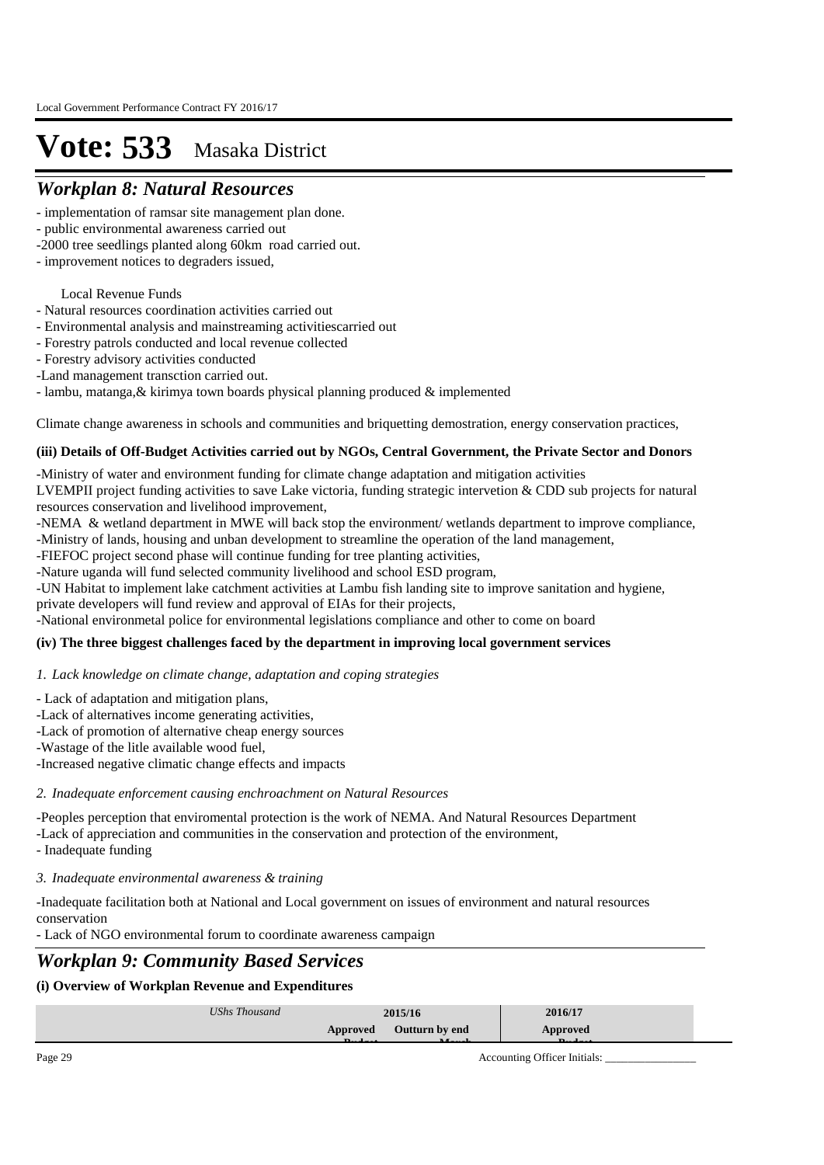### *Workplan 8: Natural Resources*

- implementation of ramsar site management plan done.
- public environmental awareness carried out
- -2000 tree seedlings planted along 60km road carried out.
- improvement notices to degraders issued,

### Local Revenue Funds

- Natural resources coordination activities carried out
- Environmental analysis and mainstreaming activitiescarried out
- Forestry patrols conducted and local revenue collected
- Forestry advisory activities conducted
- -Land management transction carried out.
- lambu, matanga,& kirimya town boards physical planning produced & implemented

Climate change awareness in schools and communities and briquetting demostration, energy conservation practices,

#### **(iii) Details of Off-Budget Activities carried out by NGOs, Central Government, the Private Sector and Donors**

-Ministry of water and environment funding for climate change adaptation and mitigation activities LVEMPII project funding activities to save Lake victoria, funding strategic intervetion & CDD sub projects for natural

resources conservation and livelihood improvement,

-NEMA & wetland department in MWE will back stop the environment/ wetlands department to improve compliance,

-Ministry of lands, housing and unban development to streamline the operation of the land management,

-FIEFOC project second phase will continue funding for tree planting activities,

-Nature uganda will fund selected community livelihood and school ESD program,

-UN Habitat to implement lake catchment activities at Lambu fish landing site to improve sanitation and hygiene,

private developers will fund review and approval of EIAs for their projects,

-National environmetal police for environmental legislations compliance and other to come on board

### **(iv) The three biggest challenges faced by the department in improving local government services**

### *Lack knowledge on climate change, adaptation and coping strategies 1.*

- Lack of adaptation and mitigation plans,

- -Lack of alternatives income generating activities,
- -Lack of promotion of alternative cheap energy sources
- -Wastage of the litle available wood fuel,

-Increased negative climatic change effects and impacts

### *Inadequate enforcement causing enchroachment on Natural Resources 2.*

-Peoples perception that enviromental protection is the work of NEMA. And Natural Resources Department

-Lack of appreciation and communities in the conservation and protection of the environment,

- Inadequate funding

*Inadequate environmental awareness & training 3.*

-Inadequate facilitation both at National and Local government on issues of environment and natural resources conservation

- Lack of NGO environmental forum to coordinate awareness campaign

### *Workplan 9: Community Based Services*

### **(i) Overview of Workplan Revenue and Expenditures**

|                                              | UShs Thousand | 2015/16               | 2016/17  |
|----------------------------------------------|---------------|-----------------------|----------|
| $\mathbf{r}$<br>$\mathbf{r}$<br>$\mathbf{r}$ | Approved      | <b>Outturn by end</b> | Approved |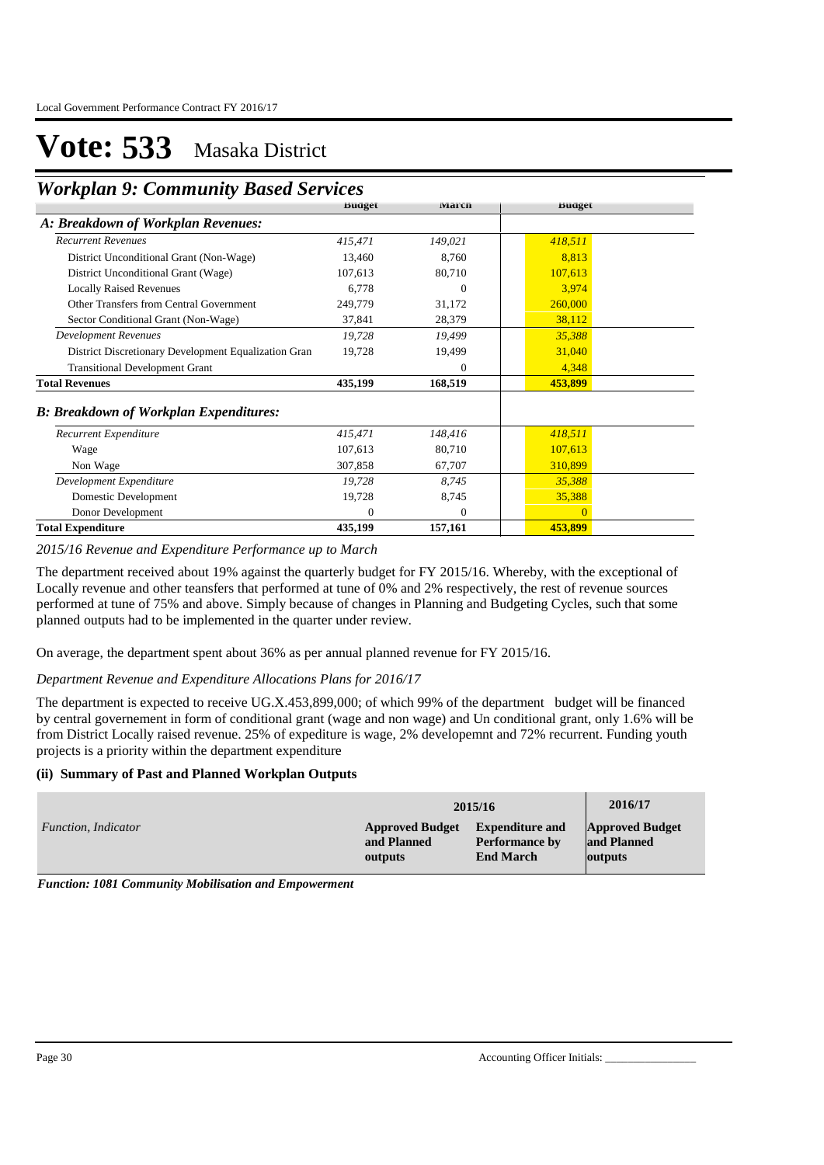### *Workplan 9: Community Based Services*

|                                                      | <b>Buaget</b> | <b>March</b> | <b>Buaget</b> |
|------------------------------------------------------|---------------|--------------|---------------|
| A: Breakdown of Workplan Revenues:                   |               |              |               |
| <b>Recurrent Revenues</b>                            | 415,471       | 149,021      | 418,511       |
| District Unconditional Grant (Non-Wage)              | 13,460        | 8,760        | 8,813         |
| District Unconditional Grant (Wage)                  | 107,613       | 80,710       | 107,613       |
| <b>Locally Raised Revenues</b>                       | 6,778         | $\theta$     | 3,974         |
| Other Transfers from Central Government              | 249,779       | 31,172       | 260,000       |
| Sector Conditional Grant (Non-Wage)                  | 37,841        | 28,379       | 38,112        |
| <b>Development Revenues</b>                          | 19,728        | 19,499       | 35,388        |
| District Discretionary Development Equalization Gran | 19,728        | 19,499       | 31,040        |
| <b>Transitional Development Grant</b>                |               | $\theta$     | 4,348         |
| <b>Total Revenues</b>                                | 435,199       | 168,519      | 453,899       |
| <b>B: Breakdown of Workplan Expenditures:</b>        |               |              |               |
| Recurrent Expenditure                                | 415,471       | 148,416      | 418,511       |
| Wage                                                 | 107,613       | 80,710       | 107,613       |
| Non Wage                                             | 307,858       | 67,707       | 310,899       |
| Development Expenditure                              | 19,728        | 8,745        | 35,388        |
| Domestic Development                                 | 19,728        | 8,745        | 35,388        |
| Donor Development                                    | $\Omega$      | $\Omega$     | $\Omega$      |
| <b>Total Expenditure</b>                             | 435,199       | 157,161      | 453,899       |

*2015/16 Revenue and Expenditure Performance up to March*

The department received about 19% against the quarterly budget for FY 2015/16. Whereby, with the exceptional of Locally revenue and other teansfers that performed at tune of 0% and 2% respectively, the rest of revenue sources performed at tune of 75% and above. Simply because of changes in Planning and Budgeting Cycles, such that some planned outputs had to be implemented in the quarter under review.

On average, the department spent about 36% as per annual planned revenue for FY 2015/16.

### *Department Revenue and Expenditure Allocations Plans for 2016/17*

The department is expected to receive UG.X.453,899,000; of which 99% of the department budget will be financed by central governement in form of conditional grant (wage and non wage) and Un conditional grant, only 1.6% will be from District Locally raised revenue. 25% of expediture is wage, 2% developemnt and 72% recurrent. Funding youth projects is a priority within the department expenditure

### **(ii) Summary of Past and Planned Workplan Outputs**

|                     |                        | 2015/16                | 2016/17                |
|---------------------|------------------------|------------------------|------------------------|
| Function, Indicator | <b>Approved Budget</b> | <b>Expenditure and</b> | <b>Approved Budget</b> |
|                     | and Planned            | <b>Performance by</b>  | and Planned            |
|                     | outputs                | <b>End March</b>       | outputs                |

*Function: 1081 Community Mobilisation and Empowerment*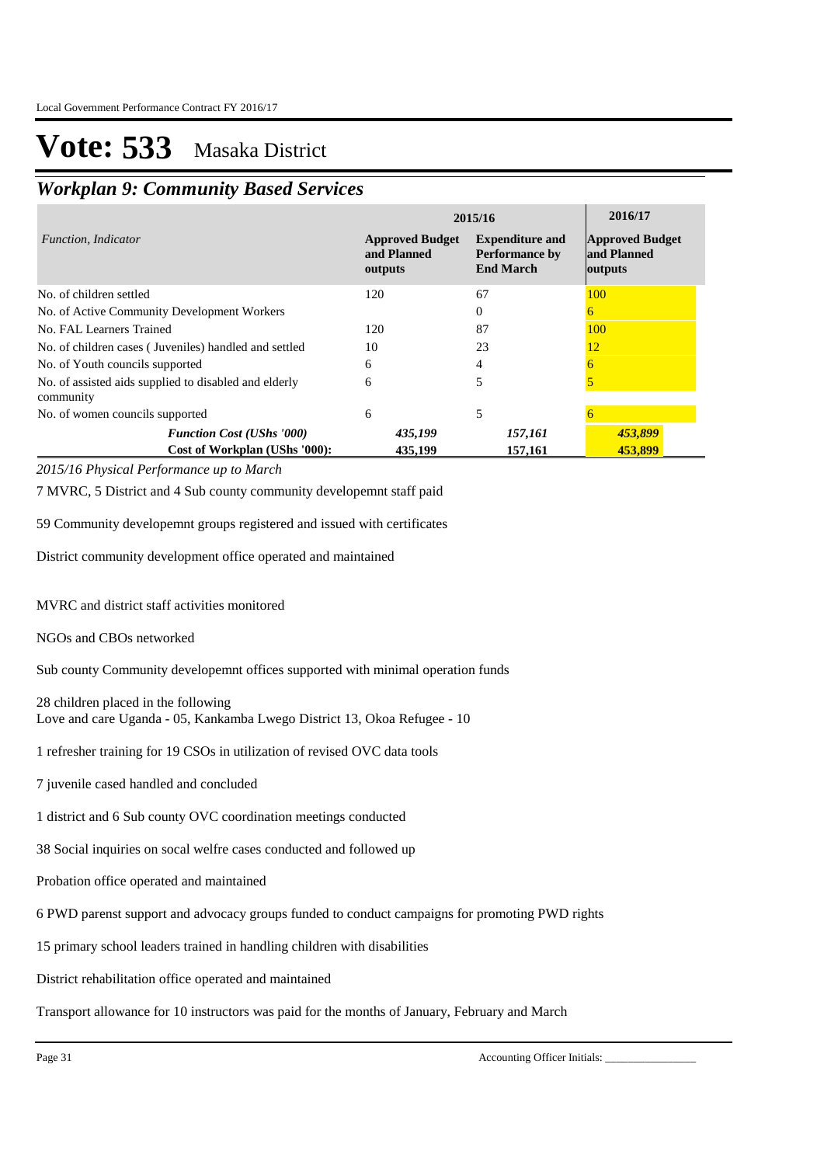### *Workplan 9: Community Based Services*

|                                                                    | 2015/16                                          | 2016/17                                                             |                                                  |
|--------------------------------------------------------------------|--------------------------------------------------|---------------------------------------------------------------------|--------------------------------------------------|
| Function, Indicator                                                | <b>Approved Budget</b><br>and Planned<br>outputs | <b>Expenditure and</b><br><b>Performance by</b><br><b>End March</b> | <b>Approved Budget</b><br>and Planned<br>outputs |
| No. of children settled                                            | 120                                              | 67                                                                  | 100                                              |
| No. of Active Community Development Workers                        |                                                  | 0                                                                   | 6                                                |
| No. FAL Learners Trained                                           | 120                                              | 87                                                                  | 100                                              |
| No. of children cases (Juveniles) handled and settled              | 10                                               | 23                                                                  | 12                                               |
| No. of Youth councils supported                                    | 6                                                | 4                                                                   |                                                  |
| No. of assisted aids supplied to disabled and elderly<br>community | 6                                                | 5                                                                   |                                                  |
| No. of women councils supported                                    | 6                                                | 5                                                                   |                                                  |
| <b>Function Cost (UShs '000)</b>                                   | 435,199                                          | 157,161                                                             | 453,899                                          |
| Cost of Workplan (UShs '000):                                      | 435,199                                          | 157,161                                                             | 453.899                                          |

*2015/16 Physical Performance up to March*

7 MVRC, 5 District and 4 Sub county community developemnt staff paid

59 Community developemnt groups registered and issued with certificates

District community development office operated and maintained

MVRC and district staff activities monitored

NGOs and CBOs networked

Sub county Community developemnt offices supported with minimal operation funds

28 children placed in the following Love and care Uganda - 05, Kankamba Lwego District 13, Okoa Refugee - 10

1 refresher training for 19 CSOs in utilization of revised OVC data tools

- 7 juvenile cased handled and concluded
- 1 district and 6 Sub county OVC coordination meetings conducted

38 Social inquiries on socal welfre cases conducted and followed up

Probation office operated and maintained

6 PWD parenst support and advocacy groups funded to conduct campaigns for promoting PWD rights

15 primary school leaders trained in handling children with disabilities

District rehabilitation office operated and maintained

Transport allowance for 10 instructors was paid for the months of January, February and March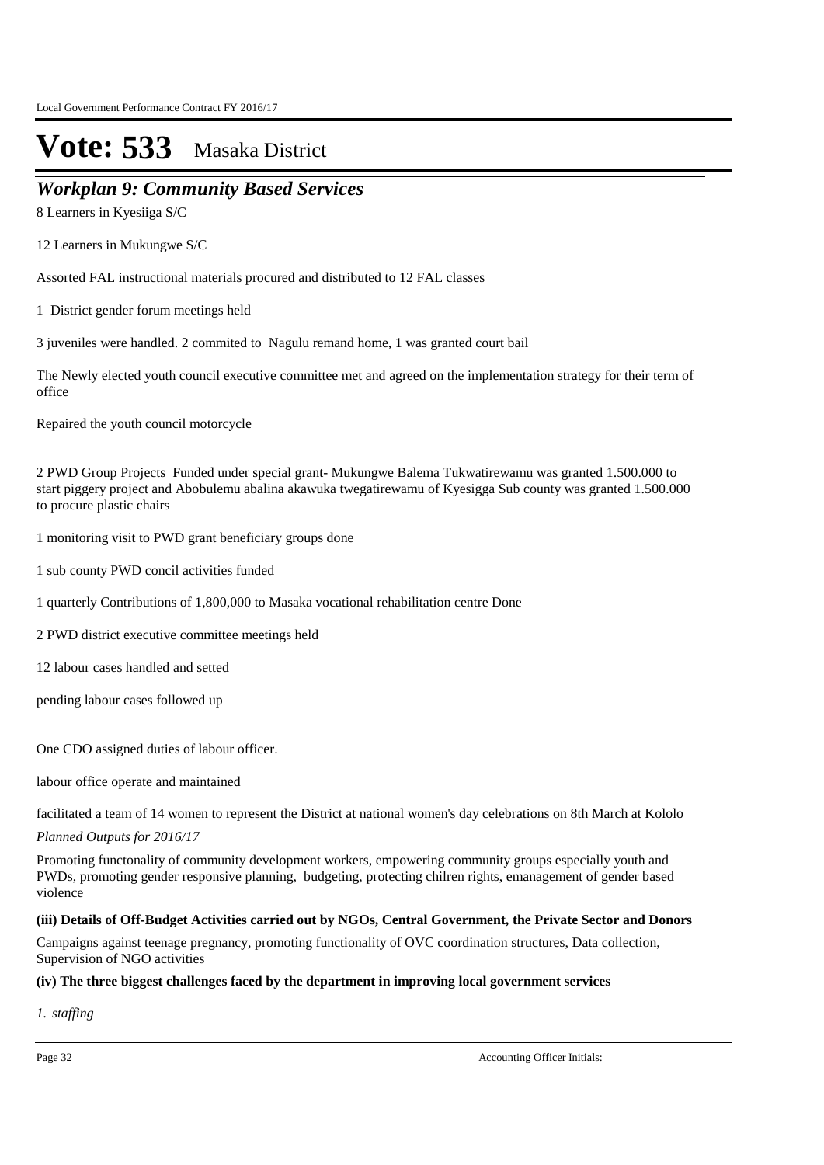### *Workplan 9: Community Based Services*

8 Learners in Kyesiiga S/C

12 Learners in Mukungwe S/C

Assorted FAL instructional materials procured and distributed to 12 FAL classes

1 District gender forum meetings held

3 juveniles were handled. 2 commited to Nagulu remand home, 1 was granted court bail

The Newly elected youth council executive committee met and agreed on the implementation strategy for their term of office

Repaired the youth council motorcycle

2 PWD Group Projects Funded under special grant- Mukungwe Balema Tukwatirewamu was granted 1.500.000 to start piggery project and Abobulemu abalina akawuka twegatirewamu of Kyesigga Sub county was granted 1.500.000 to procure plastic chairs

- 1 monitoring visit to PWD grant beneficiary groups done
- 1 sub county PWD concil activities funded
- 1 quarterly Contributions of 1,800,000 to Masaka vocational rehabilitation centre Done
- 2 PWD district executive committee meetings held
- 12 labour cases handled and setted

pending labour cases followed up

One CDO assigned duties of labour officer.

labour office operate and maintained

facilitated a team of 14 women to represent the District at national women's day celebrations on 8th March at Kololo

*Planned Outputs for 2016/17* 

Promoting functonality of community development workers, empowering community groups especially youth and PWDs, promoting gender responsive planning, budgeting, protecting chilren rights, emanagement of gender based violence

### **(iii) Details of Off-Budget Activities carried out by NGOs, Central Government, the Private Sector and Donors**

Campaigns against teenage pregnancy, promoting functionality of OVC coordination structures, Data collection, Supervision of NGO activities

### **(iv) The three biggest challenges faced by the department in improving local government services**

*staffing 1.*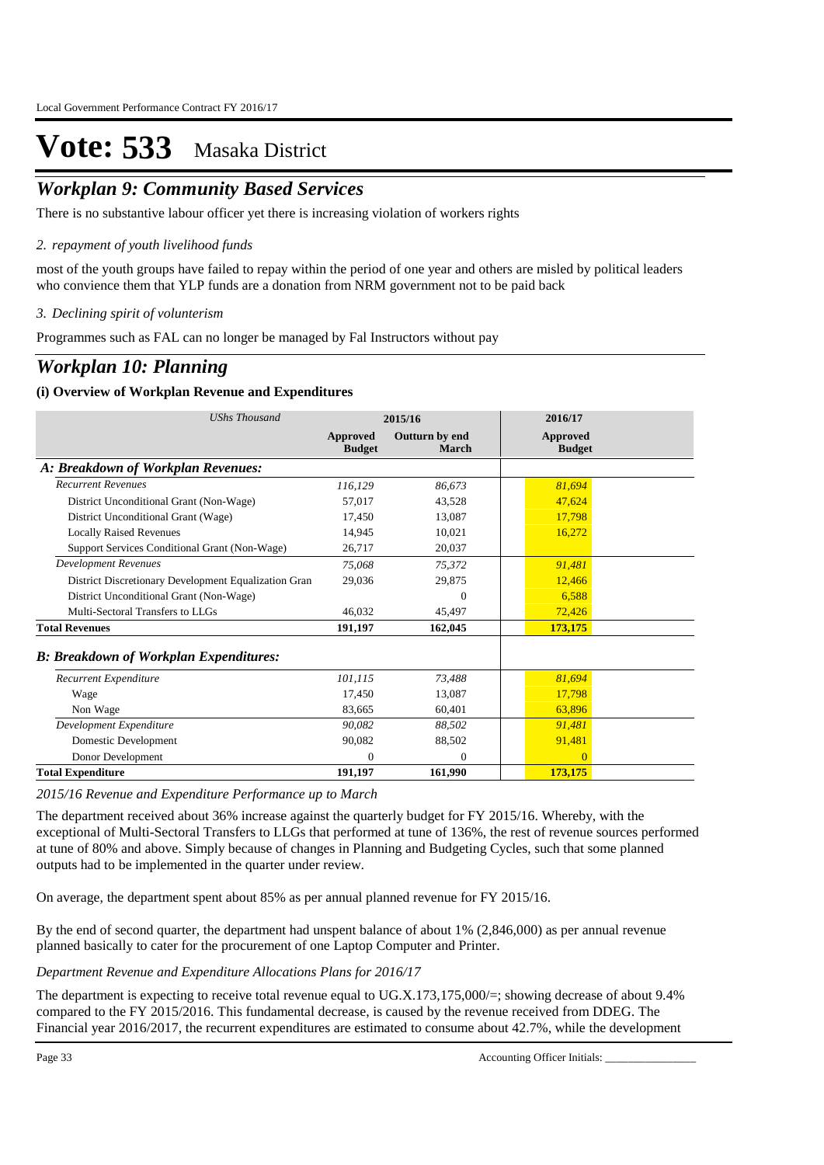## *Workplan 9: Community Based Services*

There is no substantive labour officer yet there is increasing violation of workers rights

### *repayment of youth livelihood funds 2.*

most of the youth groups have failed to repay within the period of one year and others are misled by political leaders who convience them that YLP funds are a donation from NRM government not to be paid back

### *Declining spirit of volunterism 3.*

Programmes such as FAL can no longer be managed by Fal Instructors without pay

### *Workplan 10: Planning*

### **(i) Overview of Workplan Revenue and Expenditures**

| <b>UShs Thousand</b>                                 |                           | 2015/16                 | 2016/17                          |
|------------------------------------------------------|---------------------------|-------------------------|----------------------------------|
|                                                      | Approved<br><b>Budget</b> | Outturn by end<br>March | <b>Approved</b><br><b>Budget</b> |
| A: Breakdown of Workplan Revenues:                   |                           |                         |                                  |
| <b>Recurrent Revenues</b>                            | 116,129                   | 86,673                  | 81,694                           |
| District Unconditional Grant (Non-Wage)              | 57,017                    | 43,528                  | 47,624                           |
| District Unconditional Grant (Wage)                  | 17,450                    | 13,087                  | 17,798                           |
| <b>Locally Raised Revenues</b>                       | 14.945                    | 10.021                  | 16,272                           |
| Support Services Conditional Grant (Non-Wage)        | 26,717                    | 20,037                  |                                  |
| <b>Development Revenues</b>                          | 75.068                    | 75,372                  | 91,481                           |
| District Discretionary Development Equalization Gran | 29,036                    | 29,875                  | 12,466                           |
| District Unconditional Grant (Non-Wage)              |                           | $\Omega$                | 6,588                            |
| Multi-Sectoral Transfers to LLGs                     | 46.032                    | 45,497                  | 72,426                           |
| <b>Total Revenues</b>                                | 191,197                   | 162,045                 | 173,175                          |
| <b>B: Breakdown of Workplan Expenditures:</b>        |                           |                         |                                  |
| Recurrent Expenditure                                | 101,115                   | 73,488                  | 81,694                           |
| Wage                                                 | 17,450                    | 13,087                  | 17,798                           |
| Non Wage                                             | 83,665                    | 60,401                  | 63,896                           |
| Development Expenditure                              | 90,082                    | 88,502                  | 91,481                           |
| Domestic Development                                 | 90,082                    | 88,502                  | 91,481                           |
| Donor Development                                    | $\mathbf{0}$              | $\mathbf{0}$            | $\Omega$                         |
| <b>Total Expenditure</b>                             | 191,197                   | 161.990                 | 173,175                          |

#### *2015/16 Revenue and Expenditure Performance up to March*

The department received about 36% increase against the quarterly budget for FY 2015/16. Whereby, with the exceptional of Multi-Sectoral Transfers to LLGs that performed at tune of 136%, the rest of revenue sources performed at tune of 80% and above. Simply because of changes in Planning and Budgeting Cycles, such that some planned outputs had to be implemented in the quarter under review.

On average, the department spent about 85% as per annual planned revenue for FY 2015/16.

By the end of second quarter, the department had unspent balance of about 1% (2,846,000) as per annual revenue planned basically to cater for the procurement of one Laptop Computer and Printer.

*Department Revenue and Expenditure Allocations Plans for 2016/17*

The department is expecting to receive total revenue equal to UG.X.173,175,000/=; showing decrease of about 9.4% compared to the FY 2015/2016. This fundamental decrease, is caused by the revenue received from DDEG. The Financial year 2016/2017, the recurrent expenditures are estimated to consume about 42.7%, while the development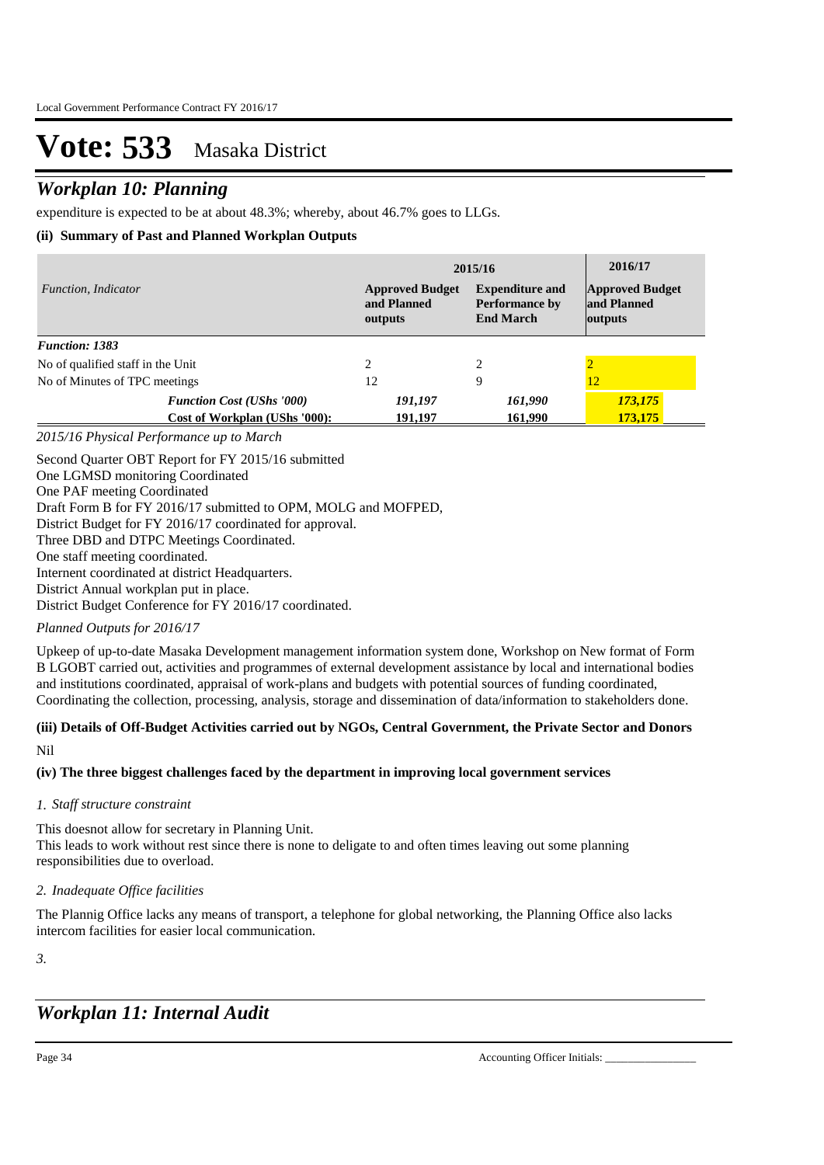## *Workplan 10: Planning*

expenditure is expected to be at about 48.3%; whereby, about 46.7% goes to LLGs.

### **(ii) Summary of Past and Planned Workplan Outputs**

| Function, Indicator               |                                                                   | 2015/16                                          | 2016/17                                                             |                                                  |
|-----------------------------------|-------------------------------------------------------------------|--------------------------------------------------|---------------------------------------------------------------------|--------------------------------------------------|
|                                   |                                                                   | <b>Approved Budget</b><br>and Planned<br>outputs | <b>Expenditure and</b><br><b>Performance by</b><br><b>End March</b> | <b>Approved Budget</b><br>and Planned<br>outputs |
| <b>Function: 1383</b>             |                                                                   |                                                  |                                                                     |                                                  |
| No of qualified staff in the Unit |                                                                   | 2                                                | 2                                                                   |                                                  |
| No of Minutes of TPC meetings     |                                                                   | 12                                               | 9                                                                   | 12                                               |
|                                   | <b>Function Cost (UShs '000)</b><br>Cost of Workplan (UShs '000): | 191,197<br>191,197                               | 161,990<br>161,990                                                  | 173,175<br>173,175                               |

*2015/16 Physical Performance up to March*

Second Quarter OBT Report for FY 2015/16 submitted One LGMSD monitoring Coordinated One PAF meeting Coordinated Draft Form B for FY 2016/17 submitted to OPM, MOLG and MOFPED, District Budget for FY 2016/17 coordinated for approval. Three DBD and DTPC Meetings Coordinated. One staff meeting coordinated. Internent coordinated at district Headquarters. District Annual workplan put in place. District Budget Conference for FY 2016/17 coordinated.

*Planned Outputs for 2016/17* 

Upkeep of up-to-date Masaka Development management information system done, Workshop on New format of Form B LGOBT carried out, activities and programmes of external development assistance by local and international bodies and institutions coordinated, appraisal of work-plans and budgets with potential sources of funding coordinated, Coordinating the collection, processing, analysis, storage and dissemination of data/information to stakeholders done.

## **(iii) Details of Off-Budget Activities carried out by NGOs, Central Government, the Private Sector and Donors**

Nil

**(iv) The three biggest challenges faced by the department in improving local government services**

### *Staff structure constraint 1.*

This doesnot allow for secretary in Planning Unit. This leads to work without rest since there is none to deligate to and often times leaving out some planning responsibilities due to overload.

### *Inadequate Office facilities 2.*

The Plannig Office lacks any means of transport, a telephone for global networking, the Planning Office also lacks intercom facilities for easier local communication.

*3.*

## *Workplan 11: Internal Audit*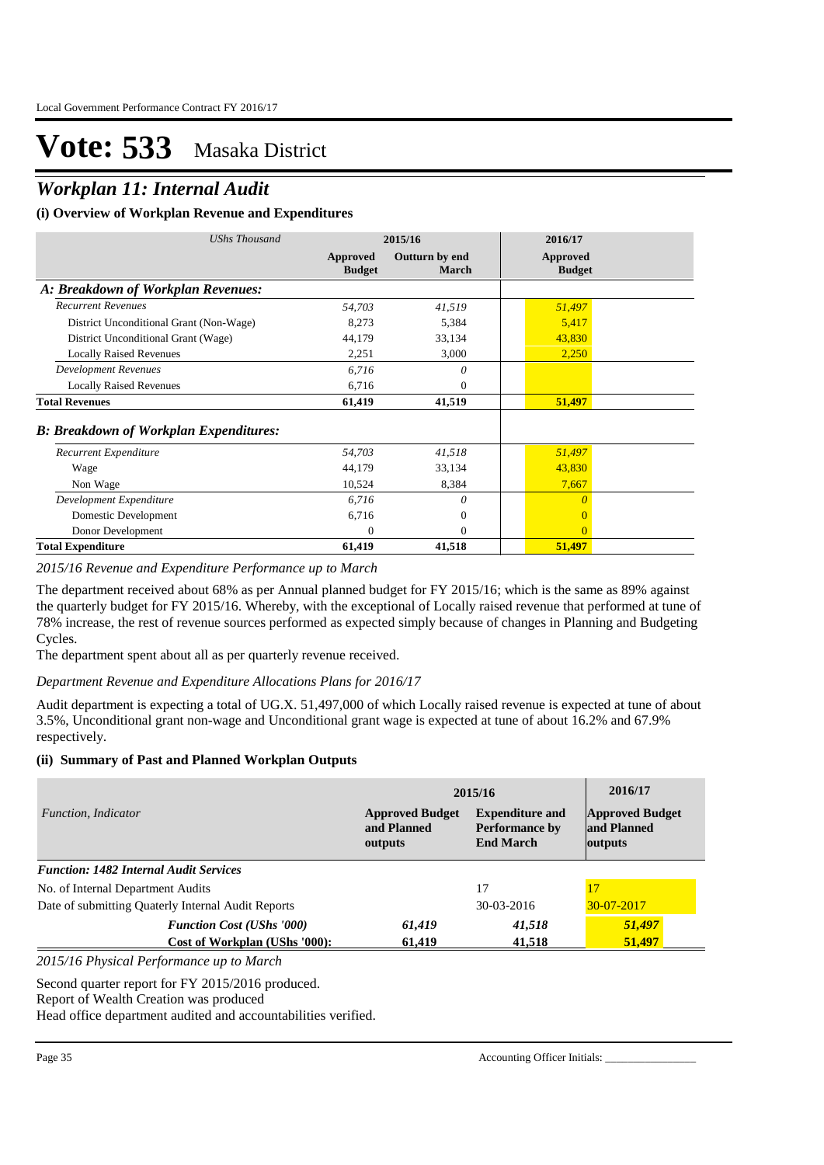### *Workplan 11: Internal Audit*

### **(i) Overview of Workplan Revenue and Expenditures**

| <b>UShs Thousand</b>                          | 2015/16                   |                         | 2016/17                   |  |
|-----------------------------------------------|---------------------------|-------------------------|---------------------------|--|
|                                               | Approved<br><b>Budget</b> | Outturn by end<br>March | Approved<br><b>Budget</b> |  |
| A: Breakdown of Workplan Revenues:            |                           |                         |                           |  |
| <b>Recurrent Revenues</b>                     | 54,703                    | 41,519                  | 51,497                    |  |
| District Unconditional Grant (Non-Wage)       | 8,273                     | 5,384                   | 5,417                     |  |
| District Unconditional Grant (Wage)           | 44,179                    | 33,134                  | 43,830                    |  |
| <b>Locally Raised Revenues</b>                | 2,251                     | 3,000                   | 2,250                     |  |
| <b>Development Revenues</b>                   | 6,716                     | $\theta$                |                           |  |
| <b>Locally Raised Revenues</b>                | 6,716                     | 0                       |                           |  |
| <b>Total Revenues</b>                         | 61,419                    | 41,519                  | 51,497                    |  |
| <b>B: Breakdown of Workplan Expenditures:</b> |                           |                         |                           |  |
| Recurrent Expenditure                         | 54,703                    | 41,518                  | 51,497                    |  |
| Wage                                          | 44,179                    | 33,134                  | 43,830                    |  |
| Non Wage                                      | 10,524                    | 8,384                   | 7,667                     |  |
| Development Expenditure                       | 6,716                     | 0                       | O                         |  |
| Domestic Development                          | 6,716                     | $\mathbf{0}$            | $\Omega$                  |  |
| Donor Development                             | $\Omega$                  | $\Omega$                | $\overline{0}$            |  |
| <b>Total Expenditure</b>                      | 61,419                    | 41,518                  | 51,497                    |  |

*2015/16 Revenue and Expenditure Performance up to March*

The department received about 68% as per Annual planned budget for FY 2015/16; which is the same as 89% against the quarterly budget for FY 2015/16. Whereby, with the exceptional of Locally raised revenue that performed at tune of 78% increase, the rest of revenue sources performed as expected simply because of changes in Planning and Budgeting Cycles.

The department spent about all as per quarterly revenue received.

*Department Revenue and Expenditure Allocations Plans for 2016/17*

Audit department is expecting a total of UG.X. 51,497,000 of which Locally raised revenue is expected at tune of about 3.5%, Unconditional grant non-wage and Unconditional grant wage is expected at tune of about 16.2% and 67.9% respectively.

#### **(ii) Summary of Past and Planned Workplan Outputs**

|                                                    | 2015/16                                          | 2016/17                                                             |                                                  |
|----------------------------------------------------|--------------------------------------------------|---------------------------------------------------------------------|--------------------------------------------------|
| Function, Indicator                                | <b>Approved Budget</b><br>and Planned<br>outputs | <b>Expenditure and</b><br><b>Performance by</b><br><b>End March</b> | <b>Approved Budget</b><br>and Planned<br>outputs |
| <b>Function: 1482 Internal Audit Services</b>      |                                                  |                                                                     |                                                  |
| No. of Internal Department Audits                  |                                                  | 17                                                                  | 17                                               |
| Date of submitting Quaterly Internal Audit Reports |                                                  | $30-03-2016$                                                        | $30 - 07 - 2017$                                 |
| <b>Function Cost (UShs '000)</b>                   | 61,419                                           | 41,518                                                              | 51,497                                           |
| Cost of Workplan (UShs '000):                      | 61.419                                           | 41,518                                                              | 51,497                                           |

*2015/16 Physical Performance up to March*

Second quarter report for FY 2015/2016 produced.

Report of Wealth Creation was produced

Head office department audited and accountabilities verified.